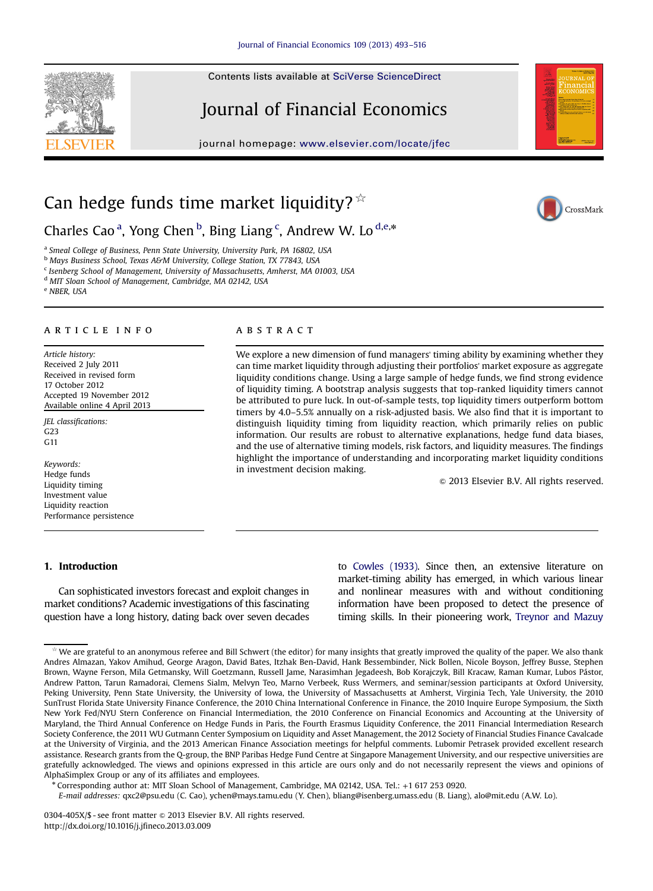# Journal of Financial Economics

journal homepage: <www.elsevier.com/locate/jfec>







## Charles Cao<sup>a</sup>, Yong Chen<sup>b</sup>, Bing Liang<sup>c</sup>, Andrew W. Lo<sup>d,e,\*</sup>

<sup>a</sup> Smeal College of Business, Penn State University, University Park, PA 16802, USA

<sup>b</sup> Mays Business School, Texas A&M University, College Station, TX 77843, USA

<sup>c</sup> Isenberg School of Management, University of Massachusetts, Amherst, MA 01003, USA

<sup>d</sup> MIT Sloan School of Management, Cambridge, MA 02142, USA

e NBER, USA

## article info

Article history: Received 2 July 2011 Received in revised form 17 October 2012 Accepted 19 November 2012 Available online 4 April 2013

JEL classifications:  $G23$ G11

Keywords: Hedge funds Liquidity timing Investment value Liquidity reaction Performance persistence

## 1. Introduction

Can sophisticated investors forecast and exploit changes in market conditions? Academic investigations of this fascinating question have a long history, dating back over seven decades

**ABSTRACT** 

We explore a new dimension of fund managers' timing ability by examining whether they can time market liquidity through adjusting their portfolios' market exposure as aggregate liquidity conditions change. Using a large sample of hedge funds, we find strong evidence of liquidity timing. A bootstrap analysis suggests that top-ranked liquidity timers cannot be attributed to pure luck. In out-of-sample tests, top liquidity timers outperform bottom timers by 4.0–5.5% annually on a risk-adjusted basis. We also find that it is important to distinguish liquidity timing from liquidity reaction, which primarily relies on public information. Our results are robust to alternative explanations, hedge fund data biases, and the use of alternative timing models, risk factors, and liquidity measures. The findings highlight the importance of understanding and incorporating market liquidity conditions in investment decision making.

 $©$  2013 Elsevier B.V. All rights reserved.

to [Cowles \(1933\)](#page-22-0). Since then, an extensive literature on market-timing ability has emerged, in which various linear and nonlinear measures with and without conditioning information have been proposed to detect the presence of timing skills. In their pioneering work, [Treynor and Mazuy](#page-23-0)

<sup>n</sup> Corresponding author at: MIT Sloan School of Management, Cambridge, MA 02142, USA. Tel.: +1 617 253 0920.

E-mail addresses: [qxc2@psu.edu \(C. Cao\)](mailto:qxc2@psu.edu), [ychen@mays.tamu.edu \(Y. Chen\),](mailto:ychen@mays.tamu.edu) [bliang@isenberg.umass.edu \(B. Liang\),](mailto:bliang@isenberg.umass.edu) [alo@mit.edu \(A.W. Lo\)](mailto:alo@mit.edu).



We are grateful to an anonymous referee and Bill Schwert (the editor) for many insights that greatly improved the quality of the paper. We also thank Andres Almazan, Yakov Amihud, George Aragon, David Bates, Itzhak Ben-David, Hank Bessembinder, Nick Bollen, Nicole Boyson, Jeffrey Busse, Stephen Brown, Wayne Ferson, Mila Getmansky, Will Goetzmann, Russell Jame, Narasimhan Jegadeesh, Bob Korajczyk, Bill Kracaw, Raman Kumar, Lubos Pástor, Andrew Patton, Tarun Ramadorai, Clemens Sialm, Melvyn Teo, Marno Verbeek, Russ Wermers, and seminar/session participants at Oxford University, Peking University, Penn State University, the University of Iowa, the University of Massachusetts at Amherst, Virginia Tech, Yale University, the 2010 SunTrust Florida State University Finance Conference, the 2010 China International Conference in Finance, the 2010 Inquire Europe Symposium, the Sixth New York Fed/NYU Stern Conference on Financial Intermediation, the 2010 Conference on Financial Economics and Accounting at the University of Maryland, the Third Annual Conference on Hedge Funds in Paris, the Fourth Erasmus Liquidity Conference, the 2011 Financial Intermediation Research Society Conference, the 2011 WU Gutmann Center Symposium on Liquidity and Asset Management, the 2012 Society of Financial Studies Finance Cavalcade at the University of Virginia, and the 2013 American Finance Association meetings for helpful comments. Lubomir Petrasek provided excellent research assistance. Research grants from the Q-group, the BNP Paribas Hedge Fund Centre at Singapore Management University, and our respective universities are gratefully acknowledged. The views and opinions expressed in this article are ours only and do not necessarily represent the views and opinions of AlphaSimplex Group or any of its affiliates and employees.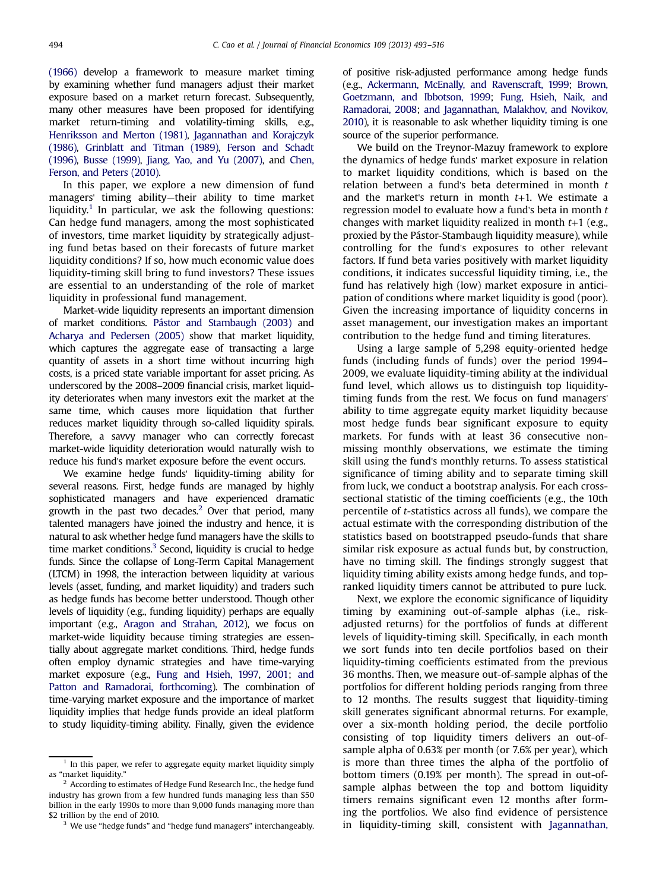[\(1966\)](#page-23-0) develop a framework to measure market timing by examining whether fund managers adjust their market exposure based on a market return forecast. Subsequently, many other measures have been proposed for identifying market return-timing and volatility-timing skills, e.g., [Henriksson and Merton \(1981\)](#page-23-0), [Jagannathan and Korajczyk](#page-23-0) [\(1986\),](#page-23-0) [Grinblatt and Titman \(1989\)](#page-23-0), [Ferson and Schadt](#page-22-0) [\(1996\),](#page-22-0) [Busse \(1999\),](#page-22-0) [Jiang, Yao, and Yu \(2007\),](#page-23-0) and [Chen,](#page-22-0) [Ferson, and Peters \(2010\)](#page-22-0).

In this paper, we explore a new dimension of fund managers' timing ability—their ability to time market liquidity.<sup>1</sup> In particular, we ask the following questions: Can hedge fund managers, among the most sophisticated of investors, time market liquidity by strategically adjusting fund betas based on their forecasts of future market liquidity conditions? If so, how much economic value does liquidity-timing skill bring to fund investors? These issues are essential to an understanding of the role of market liquidity in professional fund management.

Market-wide liquidity represents an important dimension of market conditions. [Pástor and Stambaugh \(2003\)](#page-23-0) and [Acharya and Pedersen \(2005\)](#page-22-0) show that market liquidity, which captures the aggregate ease of transacting a large quantity of assets in a short time without incurring high costs, is a priced state variable important for asset pricing. As underscored by the 2008–2009 financial crisis, market liquidity deteriorates when many investors exit the market at the same time, which causes more liquidation that further reduces market liquidity through so-called liquidity spirals. Therefore, a savvy manager who can correctly forecast market-wide liquidity deterioration would naturally wish to reduce his fund's market exposure before the event occurs.

We examine hedge funds' liquidity-timing ability for several reasons. First, hedge funds are managed by highly sophisticated managers and have experienced dramatic growth in the past two decades. $<sup>2</sup>$  Over that period, many</sup> talented managers have joined the industry and hence, it is natural to ask whether hedge fund managers have the skills to time market conditions. $3$  Second, liquidity is crucial to hedge funds. Since the collapse of Long-Term Capital Management (LTCM) in 1998, the interaction between liquidity at various levels (asset, funding, and market liquidity) and traders such as hedge funds has become better understood. Though other levels of liquidity (e.g., funding liquidity) perhaps are equally important (e.g., [Aragon and Strahan, 2012](#page-22-0)), we focus on market-wide liquidity because timing strategies are essentially about aggregate market conditions. Third, hedge funds often employ dynamic strategies and have time-varying market exposure (e.g., [Fung and Hsieh, 1997,](#page-22-0) [2001](#page-23-0); [and](#page-23-0) [Patton and Ramadorai, forthcoming\)](#page-23-0). The combination of time-varying market exposure and the importance of market liquidity implies that hedge funds provide an ideal platform to study liquidity-timing ability. Finally, given the evidence

of positive risk-adjusted performance among hedge funds (e.g., [Ackermann, McEnally, and Ravenscraft, 1999](#page-22-0); [Brown,](#page-22-0) [Goetzmann, and Ibbotson, 1999;](#page-22-0) [Fung, Hsieh, Naik, and](#page-23-0) [Ramadorai, 2008;](#page-23-0) [and Jagannathan, Malakhov, and Novikov,](#page-23-0) [2010](#page-23-0)), it is reasonable to ask whether liquidity timing is one source of the superior performance.

We build on the Treynor-Mazuy framework to explore the dynamics of hedge funds' market exposure in relation to market liquidity conditions, which is based on the relation between a fund's beta determined in month  $t$ and the market's return in month  $t+1$ . We estimate a regression model to evaluate how a fund's beta in month  $t$ changes with market liquidity realized in month  $t+1$  (e.g., proxied by the Pástor-Stambaugh liquidity measure), while controlling for the fund's exposures to other relevant factors. If fund beta varies positively with market liquidity conditions, it indicates successful liquidity timing, i.e., the fund has relatively high (low) market exposure in anticipation of conditions where market liquidity is good (poor). Given the increasing importance of liquidity concerns in asset management, our investigation makes an important contribution to the hedge fund and timing literatures.

Using a large sample of 5,298 equity-oriented hedge funds (including funds of funds) over the period 1994– 2009, we evaluate liquidity-timing ability at the individual fund level, which allows us to distinguish top liquiditytiming funds from the rest. We focus on fund managers' ability to time aggregate equity market liquidity because most hedge funds bear significant exposure to equity markets. For funds with at least 36 consecutive nonmissing monthly observations, we estimate the timing skill using the fund's monthly returns. To assess statistical significance of timing ability and to separate timing skill from luck, we conduct a bootstrap analysis. For each crosssectional statistic of the timing coefficients (e.g., the 10th percentile of t-statistics across all funds), we compare the actual estimate with the corresponding distribution of the statistics based on bootstrapped pseudo-funds that share similar risk exposure as actual funds but, by construction, have no timing skill. The findings strongly suggest that liquidity timing ability exists among hedge funds, and topranked liquidity timers cannot be attributed to pure luck.

Next, we explore the economic significance of liquidity timing by examining out-of-sample alphas (i.e., riskadjusted returns) for the portfolios of funds at different levels of liquidity-timing skill. Specifically, in each month we sort funds into ten decile portfolios based on their liquidity-timing coefficients estimated from the previous 36 months. Then, we measure out-of-sample alphas of the portfolios for different holding periods ranging from three to 12 months. The results suggest that liquidity-timing skill generates significant abnormal returns. For example, over a six-month holding period, the decile portfolio consisting of top liquidity timers delivers an out-ofsample alpha of 0.63% per month (or 7.6% per year), which is more than three times the alpha of the portfolio of bottom timers (0.19% per month). The spread in out-ofsample alphas between the top and bottom liquidity timers remains significant even 12 months after forming the portfolios. We also find evidence of persistence in liquidity-timing skill, consistent with [Jagannathan,](#page-23-0)

 $1$  In this paper, we refer to aggregate equity market liquidity simply as "market liquidity."

<sup>2</sup> According to estimates of Hedge Fund Research Inc., the hedge fund industry has grown from a few hundred funds managing less than \$50 billion in the early 1990s to more than 9,000 funds managing more than \$2 trillion by the end of 2010.

We use "hedge funds" and "hedge fund managers" interchangeably.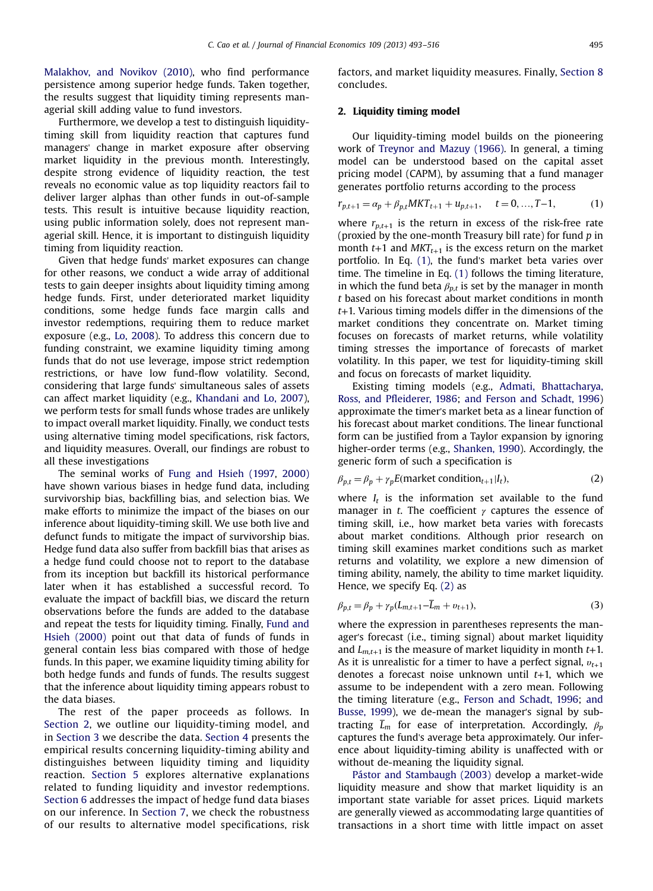[Malakhov, and Novikov \(2010\)](#page-23-0), who find performance persistence among superior hedge funds. Taken together, the results suggest that liquidity timing represents managerial skill adding value to fund investors.

Furthermore, we develop a test to distinguish liquiditytiming skill from liquidity reaction that captures fund managers' change in market exposure after observing market liquidity in the previous month. Interestingly, despite strong evidence of liquidity reaction, the test reveals no economic value as top liquidity reactors fail to deliver larger alphas than other funds in out-of-sample tests. This result is intuitive because liquidity reaction, using public information solely, does not represent managerial skill. Hence, it is important to distinguish liquidity timing from liquidity reaction.

Given that hedge funds' market exposures can change for other reasons, we conduct a wide array of additional tests to gain deeper insights about liquidity timing among hedge funds. First, under deteriorated market liquidity conditions, some hedge funds face margin calls and investor redemptions, requiring them to reduce market exposure (e.g., [Lo, 2008\)](#page-23-0). To address this concern due to funding constraint, we examine liquidity timing among funds that do not use leverage, impose strict redemption restrictions, or have low fund-flow volatility. Second, considering that large funds' simultaneous sales of assets can affect market liquidity (e.g., [Khandani and Lo, 2007](#page-23-0)), we perform tests for small funds whose trades are unlikely to impact overall market liquidity. Finally, we conduct tests using alternative timing model specifications, risk factors, and liquidity measures. Overall, our findings are robust to all these investigations

The seminal works of [Fung and Hsieh \(1997](#page-22-0), [2000\)](#page-23-0) have shown various biases in hedge fund data, including survivorship bias, backfilling bias, and selection bias. We make efforts to minimize the impact of the biases on our inference about liquidity-timing skill. We use both live and defunct funds to mitigate the impact of survivorship bias. Hedge fund data also suffer from backfill bias that arises as a hedge fund could choose not to report to the database from its inception but backfill its historical performance later when it has established a successful record. To evaluate the impact of backfill bias, we discard the return observations before the funds are added to the database and repeat the tests for liquidity timing. Finally, [Fund and](#page-23-0) [Hsieh \(2000\)](#page-23-0) point out that data of funds of funds in general contain less bias compared with those of hedge funds. In this paper, we examine liquidity timing ability for both hedge funds and funds of funds. The results suggest that the inference about liquidity timing appears robust to the data biases.

The rest of the paper proceeds as follows. In Section 2, we outline our liquidity-timing model, and in [Section 3](#page-3-0) we describe the data. [Section 4](#page-4-0) presents the empirical results concerning liquidity-timing ability and distinguishes between liquidity timing and liquidity reaction. [Section 5](#page-10-0) explores alternative explanations related to funding liquidity and investor redemptions. [Section 6](#page-14-0) addresses the impact of hedge fund data biases on our inference. In [Section 7](#page-16-0), we check the robustness of our results to alternative model specifications, risk factors, and market liquidity measures. Finally, [Section 8](#page-21-0) concludes.

#### 2. Liquidity timing model

Our liquidity-timing model builds on the pioneering work of [Treynor and Mazuy \(1966\)](#page-23-0). In general, a timing model can be understood based on the capital asset pricing model (CAPM), by assuming that a fund manager generates portfolio returns according to the process

$$
r_{p,t+1} = \alpha_p + \beta_{p,t} MKT_{t+1} + u_{p,t+1}, \quad t = 0, ..., T-1,
$$
 (1)

where  $r_{p,t+1}$  is the return in excess of the risk-free rate (proxied by the one-month Treasury bill rate) for fund  $p$  in month  $t+1$  and  $MKT_{t+1}$  is the excess return on the market portfolio. In Eq. (1), the fund's market beta varies over time. The timeline in Eq. (1) follows the timing literature, in which the fund beta  $\beta_{p,t}$  is set by the manager in month t based on his forecast about market conditions in month  $t+1$ . Various timing models differ in the dimensions of the market conditions they concentrate on. Market timing focuses on forecasts of market returns, while volatility timing stresses the importance of forecasts of market volatility. In this paper, we test for liquidity-timing skill and focus on forecasts of market liquidity.

Existing timing models (e.g., [Admati, Bhattacharya,](#page-22-0) [Ross, and Pfleiderer, 1986](#page-22-0); [and Ferson and Schadt, 1996](#page-22-0)) approximate the timer's market beta as a linear function of his forecast about market conditions. The linear functional form can be justified from a Taylor expansion by ignoring higher-order terms (e.g., [Shanken, 1990\)](#page-23-0). Accordingly, the generic form of such a specification is

$$
\beta_{p,t} = \beta_p + \gamma_p E(\text{market condition}_{t+1} | I_t),\tag{2}
$$

where  $I_t$  is the information set available to the fund manager in t. The coefficient  $\gamma$  captures the essence of timing skill, i.e., how market beta varies with forecasts about market conditions. Although prior research on timing skill examines market conditions such as market returns and volatility, we explore a new dimension of timing ability, namely, the ability to time market liquidity. Hence, we specify Eq. (2) as

$$
\beta_{p,t} = \beta_p + \gamma_p (L_{m,t+1} - \bar{L}_m + v_{t+1}),
$$
\n(3)

where the expression in parentheses represents the manager's forecast (i.e., timing signal) about market liquidity and  $L_{m,t+1}$  is the measure of market liquidity in month  $t+1$ . As it is unrealistic for a timer to have a perfect signal,  $v_{t+1}$ denotes a forecast noise unknown until  $t+1$ , which we assume to be independent with a zero mean. Following the timing literature (e.g., [Ferson and Schadt, 1996](#page-22-0); [and](#page-22-0) [Busse, 1999](#page-22-0)), we de-mean the manager's signal by subtracting  $\overline{L}_m$  for ease of interpretation. Accordingly,  $\beta_n$ captures the fund's average beta approximately. Our inference about liquidity-timing ability is unaffected with or without de-meaning the liquidity signal.

[Pástor and Stambaugh \(2003\)](#page-23-0) develop a market-wide liquidity measure and show that market liquidity is an important state variable for asset prices. Liquid markets are generally viewed as accommodating large quantities of transactions in a short time with little impact on asset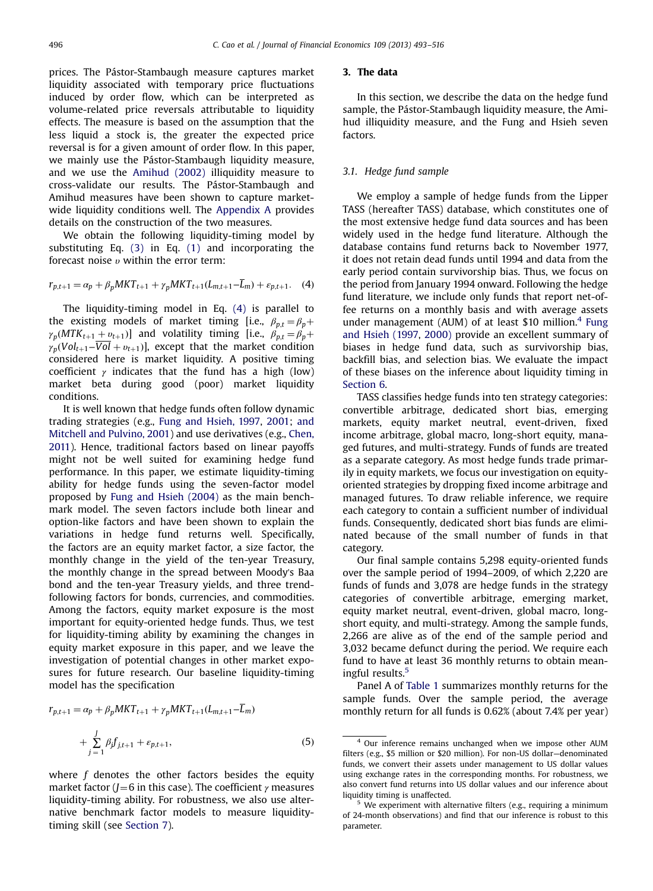<span id="page-3-0"></span>prices. The Pástor-Stambaugh measure captures market liquidity associated with temporary price fluctuations induced by order flow, which can be interpreted as volume-related price reversals attributable to liquidity effects. The measure is based on the assumption that the less liquid a stock is, the greater the expected price reversal is for a given amount of order flow. In this paper, we mainly use the Pástor-Stambaugh liquidity measure, and we use the [Amihud \(2002\)](#page-22-0) illiquidity measure to cross-validate our results. The Pástor-Stambaugh and Amihud measures have been shown to capture marketwide liquidity conditions well. The [Appendix A](#page-22-0) provides details on the construction of the two measures.

We obtain the following liquidity-timing model by substituting Eq. (3) in Eq. (1) and incorporating the forecast noise  $\nu$  within the error term:

$$
r_{p,t+1} = \alpha_p + \beta_p MKT_{t+1} + \gamma_p MKT_{t+1}(L_{m,t+1} - \bar{L}_m) + \varepsilon_{p,t+1}.
$$
 (4)

The liquidity-timing model in Eq. (4) is parallel to the existing models of market timing [i.e.,  $\beta_{p,t} = \beta_p + \beta_p$  $\gamma_p(MTK_{t+1} + v_{t+1})$ ] and volatility timing [i.e.,  $\beta_{p,t} = \beta_p + \beta_p$  $\gamma_p(Vol_{t+1} - \overline{Vol} + v_{t+1})$ , except that the market condition considered here is market liquidity. A positive timing coefficient  $\gamma$  indicates that the fund has a high (low) market beta during good (poor) market liquidity conditions.

It is well known that hedge funds often follow dynamic trading strategies (e.g., [Fung and Hsieh, 1997](#page-22-0), [2001](#page-23-0); [and](#page-23-0) [Mitchell and Pulvino, 2001\)](#page-23-0) and use derivatives (e.g., [Chen,](#page-22-0) [2011\)](#page-22-0). Hence, traditional factors based on linear payoffs might not be well suited for examining hedge fund performance. In this paper, we estimate liquidity-timing ability for hedge funds using the seven-factor model proposed by [Fung and Hsieh \(2004\)](#page-23-0) as the main benchmark model. The seven factors include both linear and option-like factors and have been shown to explain the variations in hedge fund returns well. Specifically, the factors are an equity market factor, a size factor, the monthly change in the yield of the ten-year Treasury, the monthly change in the spread between Moody's Baa bond and the ten-year Treasury yields, and three trendfollowing factors for bonds, currencies, and commodities. Among the factors, equity market exposure is the most important for equity-oriented hedge funds. Thus, we test for liquidity-timing ability by examining the changes in equity market exposure in this paper, and we leave the investigation of potential changes in other market exposures for future research. Our baseline liquidity-timing model has the specification

$$
r_{p,t+1} = \alpha_p + \beta_p MKT_{t+1} + \gamma_p MKT_{t+1}(L_{m,t+1} - L_m)
$$
  
+ 
$$
\sum_{j=1}^{J} \beta_j f_{j,t+1} + \varepsilon_{p,t+1},
$$
 (5)

where f denotes the other factors besides the equity market factor ( $J=6$  in this case). The coefficient  $\gamma$  measures liquidity-timing ability. For robustness, we also use alternative benchmark factor models to measure liquiditytiming skill (see [Section 7\)](#page-16-0).

#### 3. The data

In this section, we describe the data on the hedge fund sample, the Pástor-Stambaugh liquidity measure, the Amihud illiquidity measure, and the Fung and Hsieh seven factors.

## 3.1. Hedge fund sample

We employ a sample of hedge funds from the Lipper TASS (hereafter TASS) database, which constitutes one of the most extensive hedge fund data sources and has been widely used in the hedge fund literature. Although the database contains fund returns back to November 1977, it does not retain dead funds until 1994 and data from the early period contain survivorship bias. Thus, we focus on the period from January 1994 onward. Following the hedge fund literature, we include only funds that report net-offee returns on a monthly basis and with average assets under management (AUM) of at least \$10 million.<sup>4</sup> [Fung](#page-22-0) [and Hsieh \(1997](#page-22-0), [2000\)](#page-23-0) provide an excellent summary of biases in hedge fund data, such as survivorship bias, backfill bias, and selection bias. We evaluate the impact of these biases on the inference about liquidity timing in [Section 6](#page-14-0).

TASS classifies hedge funds into ten strategy categories: convertible arbitrage, dedicated short bias, emerging markets, equity market neutral, event-driven, fixed income arbitrage, global macro, long-short equity, managed futures, and multi-strategy. Funds of funds are treated as a separate category. As most hedge funds trade primarily in equity markets, we focus our investigation on equityoriented strategies by dropping fixed income arbitrage and managed futures. To draw reliable inference, we require each category to contain a sufficient number of individual funds. Consequently, dedicated short bias funds are eliminated because of the small number of funds in that category.

Our final sample contains 5,298 equity-oriented funds over the sample period of 1994–2009, of which 2,220 are funds of funds and 3,078 are hedge funds in the strategy categories of convertible arbitrage, emerging market, equity market neutral, event-driven, global macro, longshort equity, and multi-strategy. Among the sample funds, 2,266 are alive as of the end of the sample period and 3,032 became defunct during the period. We require each fund to have at least 36 monthly returns to obtain meaningful results.<sup>5</sup>

Panel A of [Table 1](#page-5-0) summarizes monthly returns for the sample funds. Over the sample period, the average monthly return for all funds is 0.62% (about 7.4% per year)

<sup>4</sup> Our inference remains unchanged when we impose other AUM filters (e.g., \$5 million or \$20 million). For non-US dollar—denominated funds, we convert their assets under management to US dollar values using exchange rates in the corresponding months. For robustness, we also convert fund returns into US dollar values and our inference about liquidity timing is unaffected.

<sup>&</sup>lt;sup>5</sup> We experiment with alternative filters (e.g., requiring a minimum of 24-month observations) and find that our inference is robust to this parameter.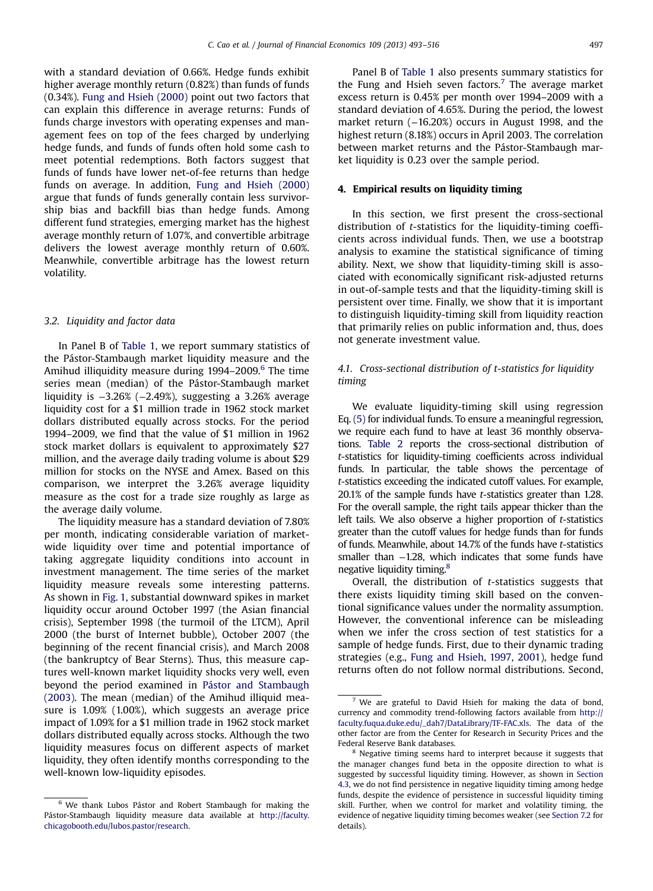<span id="page-4-0"></span>with a standard deviation of 0.66%. Hedge funds exhibit higher average monthly return (0.82%) than funds of funds (0.34%). [Fung and Hsieh \(2000\)](#page-23-0) point out two factors that can explain this difference in average returns: Funds of funds charge investors with operating expenses and management fees on top of the fees charged by underlying hedge funds, and funds of funds often hold some cash to meet potential redemptions. Both factors suggest that funds of funds have lower net-of-fee returns than hedge funds on average. In addition, [Fung and Hsieh \(2000\)](#page-23-0) argue that funds of funds generally contain less survivorship bias and backfill bias than hedge funds. Among different fund strategies, emerging market has the highest average monthly return of 1.07%, and convertible arbitrage delivers the lowest average monthly return of 0.60%. Meanwhile, convertible arbitrage has the lowest return volatility.

## 3.2. Liquidity and factor data

In Panel B of [Table 1,](#page-5-0) we report summary statistics of the Pástor-Stambaugh market liquidity measure and the Amihud illiquidity measure during 1994–2009.<sup>6</sup> The time series mean (median) of the Pástor-Stambaugh market liquidity is −3.26% (−2.49%), suggesting a 3.26% average liquidity cost for a \$1 million trade in 1962 stock market dollars distributed equally across stocks. For the period 1994–2009, we find that the value of \$1 million in 1962 stock market dollars is equivalent to approximately \$27 million, and the average daily trading volume is about \$29 million for stocks on the NYSE and Amex. Based on this comparison, we interpret the 3.26% average liquidity measure as the cost for a trade size roughly as large as the average daily volume.

The liquidity measure has a standard deviation of 7.80% per month, indicating considerable variation of marketwide liquidity over time and potential importance of taking aggregate liquidity conditions into account in investment management. The time series of the market liquidity measure reveals some interesting patterns. As shown in [Fig. 1,](#page-5-0) substantial downward spikes in market liquidity occur around October 1997 (the Asian financial crisis), September 1998 (the turmoil of the LTCM), April 2000 (the burst of Internet bubble), October 2007 (the beginning of the recent financial crisis), and March 2008 (the bankruptcy of Bear Sterns). Thus, this measure captures well-known market liquidity shocks very well, even beyond the period examined in [Pástor and Stambaugh](#page-23-0) [\(2003\)](#page-23-0). The mean (median) of the Amihud illiquid measure is 1.09% (1.00%), which suggests an average price impact of 1.09% for a \$1 million trade in 1962 stock market dollars distributed equally across stocks. Although the two liquidity measures focus on different aspects of market liquidity, they often identify months corresponding to the well-known low-liquidity episodes.

Panel B of [Table 1](#page-5-0) also presents summary statistics for the Fung and Hsieh seven factors.<sup>7</sup> The average market excess return is 0.45% per month over 1994–2009 with a standard deviation of 4.65%. During the period, the lowest market return (−16.20%) occurs in August 1998, and the highest return (8.18%) occurs in April 2003. The correlation between market returns and the Pástor-Stambaugh market liquidity is 0.23 over the sample period.

## 4. Empirical results on liquidity timing

In this section, we first present the cross-sectional distribution of t-statistics for the liquidity-timing coefficients across individual funds. Then, we use a bootstrap analysis to examine the statistical significance of timing ability. Next, we show that liquidity-timing skill is associated with economically significant risk-adjusted returns in out-of-sample tests and that the liquidity-timing skill is persistent over time. Finally, we show that it is important to distinguish liquidity-timing skill from liquidity reaction that primarily relies on public information and, thus, does not generate investment value.

## 4.1. Cross-sectional distribution of t-statistics for liquidity timing

We evaluate liquidity-timing skill using regression Eq. (5) for individual funds. To ensure a meaningful regression, we require each fund to have at least 36 monthly observations. [Table 2](#page-6-0) reports the cross-sectional distribution of t-statistics for liquidity-timing coefficients across individual funds. In particular, the table shows the percentage of t-statistics exceeding the indicated cutoff values. For example, 20.1% of the sample funds have t-statistics greater than 1.28. For the overall sample, the right tails appear thicker than the left tails. We also observe a higher proportion of t-statistics greater than the cutoff values for hedge funds than for funds of funds. Meanwhile, about 14.7% of the funds have t-statistics smaller than −1.28, which indicates that some funds have negative liquidity timing.<sup>8</sup>

Overall, the distribution of t-statistics suggests that there exists liquidity timing skill based on the conventional significance values under the normality assumption. However, the conventional inference can be misleading when we infer the cross section of test statistics for a sample of hedge funds. First, due to their dynamic trading strategies (e.g., [Fung and Hsieh, 1997,](#page-22-0) [2001\)](#page-23-0), hedge fund returns often do not follow normal distributions. Second,

<sup>&</sup>lt;sup>6</sup> We thank Lubos Pástor and Robert Stambaugh for making the Pástor-Stambaugh liquidity measure data available at [http://faculty.](http://faculty.chicagobooth.edu/lubos.pastor/research) [chicagobooth.edu/lubos.pastor/research.](http://faculty.chicagobooth.edu/lubos.pastor/research)

<sup>&</sup>lt;sup>7</sup> We are grateful to David Hsieh for making the data of bond, currency and commodity trend-following factors available from [http://](http://faculty.fuqua.duke.edu/_dah7/DataLibrary/TF-FAC.xls) [faculty.fuqua.duke.edu/\\_dah7/DataLibrary/TF-FAC.xls](http://faculty.fuqua.duke.edu/_dah7/DataLibrary/TF-FAC.xls). The data of the other factor are from the Center for Research in Security Prices and the Federal Reserve Bank databases.

Negative timing seems hard to interpret because it suggests that the manager changes fund beta in the opposite direction to what is suggested by successful liquidity timing. However, as shown in [Section](#page-7-0) [4.3](#page-7-0), we do not find persistence in negative liquidity timing among hedge funds, despite the evidence of persistence in successful liquidity timing skill. Further, when we control for market and volatility timing, the evidence of negative liquidity timing becomes weaker (see [Section 7.2](#page-19-0) for details).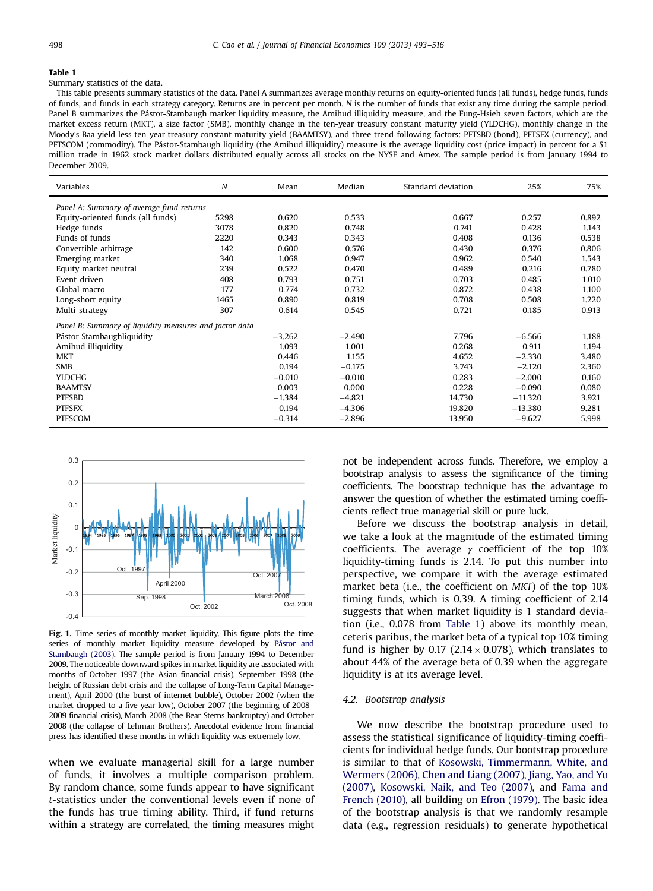<span id="page-5-0"></span>Summary statistics of the data.

This table presents summary statistics of the data. Panel A summarizes average monthly returns on equity-oriented funds (all funds), hedge funds, funds of funds, and funds in each strategy category. Returns are in percent per month. N is the number of funds that exist any time during the sample period. Panel B summarizes the Pástor-Stambaugh market liquidity measure, the Amihud illiquidity measure, and the Fung-Hsieh seven factors, which are the market excess return (MKT), a size factor (SMB), monthly change in the ten-year treasury constant maturity yield (YLDCHG), monthly change in the Moody's Baa yield less ten-year treasury constant maturity yield (BAAMTSY), and three trend-following factors: PFTSBD (bond), PFTSFX (currency), and PFTSCOM (commodity). The Pástor-Stambaugh liquidity (the Amihud illiquidity) measure is the average liquidity cost (price impact) in percent for a \$1 million trade in 1962 stock market dollars distributed equally across all stocks on the NYSE and Amex. The sample period is from January 1994 to December 2009.

| Variables                                              | N    | Mean     | Median   | Standard deviation | 25%       | 75%   |
|--------------------------------------------------------|------|----------|----------|--------------------|-----------|-------|
| Panel A: Summary of average fund returns               |      |          |          |                    |           |       |
| Equity-oriented funds (all funds)                      | 5298 | 0.620    | 0.533    | 0.667              | 0.257     | 0.892 |
| Hedge funds                                            | 3078 | 0.820    | 0.748    | 0.741              | 0.428     | 1.143 |
| Funds of funds                                         | 2220 | 0.343    | 0.343    | 0.408              | 0.136     | 0.538 |
| Convertible arbitrage                                  | 142  | 0.600    | 0.576    | 0.430              | 0.376     | 0.806 |
| Emerging market                                        | 340  | 1.068    | 0.947    | 0.962              | 0.540     | 1.543 |
| Equity market neutral                                  | 239  | 0.522    | 0.470    | 0.489              | 0.216     | 0.780 |
| Event-driven                                           | 408  | 0.793    | 0.751    | 0.703              | 0.485     | 1.010 |
| Global macro                                           | 177  | 0.774    | 0.732    | 0.872              | 0.438     | 1.100 |
| Long-short equity                                      | 1465 | 0.890    | 0.819    | 0.708              | 0.508     | 1.220 |
| Multi-strategy                                         | 307  | 0.614    | 0.545    | 0.721              | 0.185     | 0.913 |
| Panel B: Summary of liquidity measures and factor data |      |          |          |                    |           |       |
| Pástor-Stambaughliquidity                              |      | $-3.262$ | $-2.490$ | 7.796              | $-6.566$  | 1.188 |
| Amihud illiquidity                                     |      | 1.093    | 1.001    | 0.268              | 0.911     | 1.194 |
| <b>MKT</b>                                             |      | 0.446    | 1.155    | 4.652              | $-2.330$  | 3.480 |
| <b>SMB</b>                                             |      | 0.194    | $-0.175$ | 3.743              | $-2.120$  | 2.360 |
| <b>YLDCHG</b>                                          |      | $-0.010$ | $-0.010$ | 0.283              | $-2.000$  | 0.160 |
| <b>BAAMTSY</b>                                         |      | 0.003    | 0.000    | 0.228              | $-0.090$  | 0.080 |
| <b>PTFSBD</b>                                          |      | $-1.384$ | $-4.821$ | 14.730             | $-11.320$ | 3.921 |
| <b>PTFSFX</b>                                          |      | 0.194    | $-4.306$ | 19.820             | $-13.380$ | 9.281 |
| PTFSCOM                                                |      | $-0.314$ | $-2.896$ | 13.950             | $-9.627$  | 5.998 |



Fig. 1. Time series of monthly market liquidity. This figure plots the time series of monthly market liquidity measure developed by [Pástor and](#page-23-0) [Stambaugh \(2003\)](#page-23-0). The sample period is from January 1994 to December 2009. The noticeable downward spikes in market liquidity are associated with months of October 1997 (the Asian financial crisis), September 1998 (the height of Russian debt crisis and the collapse of Long-Term Capital Management), April 2000 (the burst of internet bubble), October 2002 (when the market dropped to a five-year low), October 2007 (the beginning of 2008– 2009 financial crisis), March 2008 (the Bear Sterns bankruptcy) and October 2008 (the collapse of Lehman Brothers). Anecdotal evidence from financial press has identified these months in which liquidity was extremely low.

when we evaluate managerial skill for a large number of funds, it involves a multiple comparison problem. By random chance, some funds appear to have significant t-statistics under the conventional levels even if none of the funds has true timing ability. Third, if fund returns within a strategy are correlated, the timing measures might

not be independent across funds. Therefore, we employ a bootstrap analysis to assess the significance of the timing coefficients. The bootstrap technique has the advantage to answer the question of whether the estimated timing coefficients reflect true managerial skill or pure luck.

Before we discuss the bootstrap analysis in detail, we take a look at the magnitude of the estimated timing coefficients. The average  $\gamma$  coefficient of the top 10% liquidity-timing funds is 2.14. To put this number into perspective, we compare it with the average estimated market beta (i.e., the coefficient on MKT) of the top 10% timing funds, which is 0.39. A timing coefficient of 2.14 suggests that when market liquidity is 1 standard deviation (i.e., 0.078 from Table 1) above its monthly mean, ceteris paribus, the market beta of a typical top 10% timing fund is higher by 0.17 ( $2.14 \times 0.078$ ), which translates to about 44% of the average beta of 0.39 when the aggregate liquidity is at its average level.

## 4.2. Bootstrap analysis

We now describe the bootstrap procedure used to assess the statistical significance of liquidity-timing coefficients for individual hedge funds. Our bootstrap procedure is similar to that of [Kosowski, Timmermann, White, and](#page-23-0) [Wermers \(2006\)](#page-23-0), [Chen and Liang \(2007\)](#page-22-0), [Jiang, Yao, and Yu](#page-23-0) [\(2007\)](#page-23-0), [Kosowski, Naik, and Teo \(2007\),](#page-23-0) and [Fama and](#page-22-0) [French \(2010\)](#page-22-0), all building on [Efron \(1979\)](#page-22-0). The basic idea of the bootstrap analysis is that we randomly resample data (e.g., regression residuals) to generate hypothetical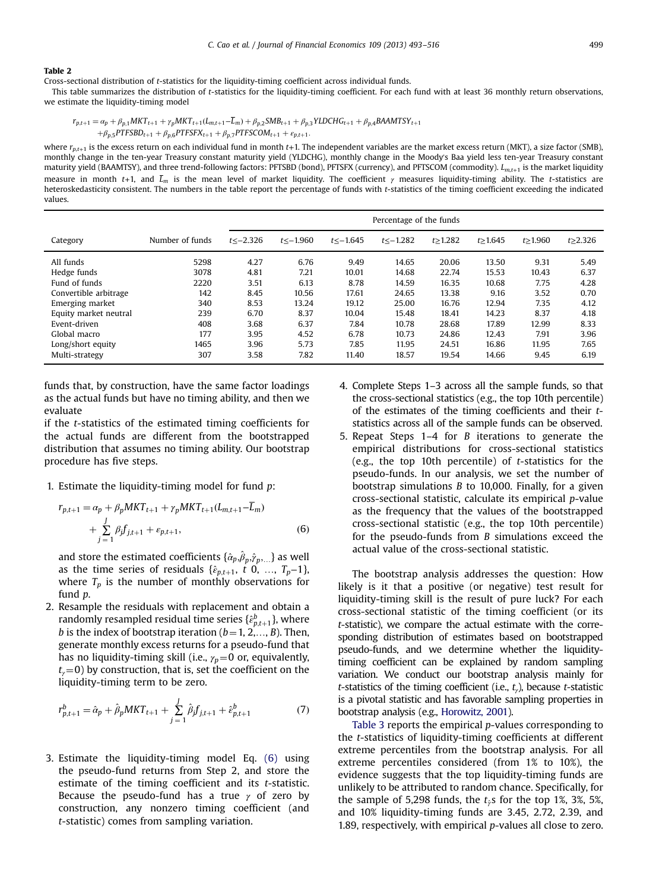<span id="page-6-0"></span>Cross-sectional distribution of t-statistics for the liquidity-timing coefficient across individual funds.

This table summarizes the distribution of t-statistics for the liquidity-timing coefficient. For each fund with at least 36 monthly return observations, we estimate the liquidity-timing model

$$
r_{p,t+1} = \alpha_p + \beta_{p,1} MKr_{t+1} + \gamma_p MKr_{t+1}(L_{m,t+1} - \overline{L}_m) + \beta_{p,2} SMB_{t+1} + \beta_{p,3} YLDCHG_{t+1} + \beta_{p,4} BAAMTSY_{t+1} + \beta_{p,5} PTFSBD_{t+1} + \beta_{p,6} PTFSFX_{t+1} + \beta_{p,7} PTFSCOM_{t+1} + \varepsilon_{p,t+1}.
$$

where  $r_{p,t+1}$  is the excess return on each individual fund in month  $t+1$ . The independent variables are the market excess return (MKT), a size factor (SMB), monthly change in the ten-year Treasury constant maturity yield (YLDCHG), monthly change in the Moody's Baa yield less ten-year Treasury constant maturity yield (BAAMTSY), and three trend-following factors: PFTSBD (bond), PFTSFX (currency), and PFTSCOM (commodity).  $L_{m,t+1}$  is the market liquidity measure in month t+1, and  $\bar{L}_m$  is the mean level of market liquidity. The coefficient  $\gamma$  measures liquidity-timing ability. The t-statistics are heteroskedasticity consistent. The numbers in the table report the percentage of funds with t-statistics of the timing coefficient exceeding the indicated values.

|                                          |                 | Percentage of the funds |                |                |                |                |                |               |              |  |
|------------------------------------------|-----------------|-------------------------|----------------|----------------|----------------|----------------|----------------|---------------|--------------|--|
| Category                                 | Number of funds | $t < -2.326$            | $t < -1.960$   | $t < -1.645$   | $t < -1.282$   | t > 1.282      | t > 1.645      | t > 1.960     | t > 2.326    |  |
| All funds<br>Hedge funds                 | 5298<br>3078    | 4.27<br>4.81            | 6.76<br>7.21   | 9.49<br>10.01  | 14.65<br>14.68 | 20.06<br>22.74 | 13.50<br>15.53 | 9.31<br>10.43 | 5.49<br>6.37 |  |
| Fund of funds                            | 2220            | 3.51                    | 6.13           | 8.78           | 14.59          | 16.35          | 10.68          | 7.75          | 4.28         |  |
| Convertible arbitrage<br>Emerging market | 142<br>340      | 8.45<br>8.53            | 10.56<br>13.24 | 17.61<br>19.12 | 24.65<br>25.00 | 13.38<br>16.76 | 9.16<br>12.94  | 3.52<br>7.35  | 0.70<br>4.12 |  |
| Equity market neutral                    | 239             | 6.70                    | 8.37           | 10.04          | 15.48          | 18.41          | 14.23          | 8.37          | 4.18         |  |
| Event-driven                             | 408             | 3.68                    | 6.37           | 7.84           | 10.78          | 28.68          | 17.89          | 12.99         | 8.33         |  |
| Global macro<br>Long/short equity        | 177<br>1465     | 3.95<br>3.96            | 4.52<br>5.73   | 6.78<br>7.85   | 10.73<br>11.95 | 24.86<br>24.51 | 12.43<br>16.86 | 7.91<br>11.95 | 3.96<br>7.65 |  |
| Multi-strategy                           | 307             | 3.58                    | 7.82           | 11.40          | 18.57          | 19.54          | 14.66          | 9.45          | 6.19         |  |

funds that, by construction, have the same factor loadings as the actual funds but have no timing ability, and then we evaluate

if the t-statistics of the estimated timing coefficients for the actual funds are different from the bootstrapped distribution that assumes no timing ability. Our bootstrap procedure has five steps.

1. Estimate the liquidity-timing model for fund  $p$ :

$$
r_{p,t+1} = \alpha_p + \beta_p MKT_{t+1} + \gamma_p MKT_{t+1}(L_{m,t+1} - L_m)
$$
  
+  $\sum_{j=1}^{J} \beta_j f_{j,t+1} + \varepsilon_{p,t+1},$  (6)

and store the estimated coefficients  $\{\hat{\alpha}_{p},\hat{\beta}_{p},\hat{\gamma}_{p},...\}$  as well as the time series of residuals  $\{\hat{\varepsilon}_{p,t+1}, t \neq 0, ..., T_p-1\}$ , where  $T_p$  is the number of monthly observations for fund *p*.

2. Resample the residuals with replacement and obtain a randomly resampled residual time series  $\{\hat{\varepsilon}^b_{p,t+1}\}$ , where b is the index of bootstrap iteration ( $b=1, 2, ..., B$ ). Then, generate monthly excess returns for a pseudo-fund that has no liquidity-timing skill (i.e.,  $\gamma_p = 0$  or, equivalently,  $t<sub>y</sub>=0$ ) by construction, that is, set the coefficient on the liquidity-timing term to be zero.

$$
r_{p,t+1}^b = \hat{\alpha}_p + \hat{\beta}_p MKT_{t+1} + \sum_{j=1}^J \hat{\beta}_j f_{j,t+1} + \hat{\varepsilon}_{p,t+1}^b \tag{7}
$$

3. Estimate the liquidity-timing model Eq. (6) using the pseudo-fund returns from Step 2, and store the estimate of the timing coefficient and its t-statistic. Because the pseudo-fund has a true  $\gamma$  of zero by construction, any nonzero timing coefficient (and t-statistic) comes from sampling variation.

- 4. Complete Steps 1–3 across all the sample funds, so that the cross-sectional statistics (e.g., the top 10th percentile) of the estimates of the timing coefficients and their tstatistics across all of the sample funds can be observed.
- 5. Repeat Steps 1–4 for B iterations to generate the empirical distributions for cross-sectional statistics (e.g., the top 10th percentile) of t-statistics for the pseudo-funds. In our analysis, we set the number of bootstrap simulations B to 10,000. Finally, for a given cross-sectional statistic, calculate its empirical p-value as the frequency that the values of the bootstrapped cross-sectional statistic (e.g., the top 10th percentile) for the pseudo-funds from B simulations exceed the actual value of the cross-sectional statistic.

The bootstrap analysis addresses the question: How likely is it that a positive (or negative) test result for liquidity-timing skill is the result of pure luck? For each cross-sectional statistic of the timing coefficient (or its t-statistic), we compare the actual estimate with the corresponding distribution of estimates based on bootstrapped pseudo-funds, and we determine whether the liquiditytiming coefficient can be explained by random sampling variation. We conduct our bootstrap analysis mainly for t-statistics of the timing coefficient (i.e.,  $t<sub>r</sub>$ ), because t-statistic is a pivotal statistic and has favorable sampling properties in bootstrap analysis (e.g., [Horowitz, 2001\)](#page-23-0).

[Table 3](#page-7-0) reports the empirical p-values corresponding to the t-statistics of liquidity-timing coefficients at different extreme percentiles from the bootstrap analysis. For all extreme percentiles considered (from 1% to 10%), the evidence suggests that the top liquidity-timing funds are unlikely to be attributed to random chance. Specifically, for the sample of 5,298 funds, the  $t<sub>\hat{y}</sub>$  s for the top 1%, 3%, 5%, and 10% liquidity-timing funds are 3.45, 2.72, 2.39, and 1.89, respectively, with empirical p-values all close to zero.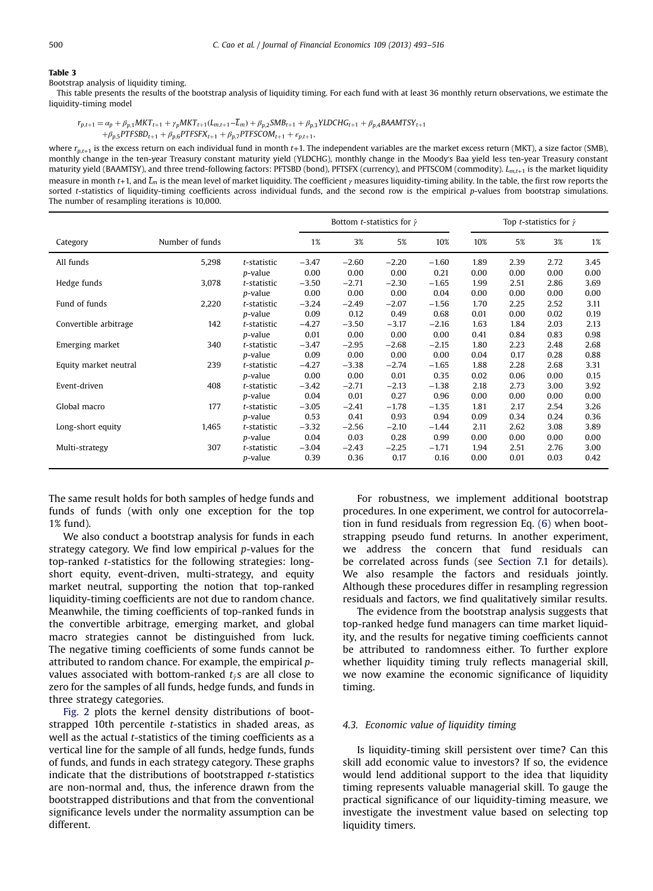<span id="page-7-0"></span>Bootstrap analysis of liquidity timing.

This table presents the results of the bootstrap analysis of liquidity timing. For each fund with at least 36 monthly return observations, we estimate the liquidity-timing model

$$
r_{p,t+1} = \alpha_p + \beta_{p,1} MKT_{t+1} + \gamma_p MKT_{t+1}(L_{m,t+1} - \overline{L}_m) + \beta_{p,2} SMB_{t+1} + \beta_{p,3} YLDCHG_{t+1} + \beta_{p,4} BAAMTSY_{t+1} + \beta_{p,5} PTFSBD_{t+1} + \beta_{p,6} PTFSFL_{t+1} + \beta_{p,7} PTFSCOM_{t+1} + \varepsilon_{p,t+1},
$$

where  $r_{p,t+1}$  is the excess return on each individual fund in month  $t+1$ . The independent variables are the market excess return (MKT), a size factor (SMB), monthly change in the ten-year Treasury constant maturity yield (YLDCHG), monthly change in the Moody's Baa yield less ten-year Treasury constant maturity yield (BAAMTSY), and three trend-following factors: PFTSBD (bond), PFTSFX (currency), and PFTSCOM (commodity).  $L_{m,t+1}$  is the market liquidity measure in month t+1, and  $\overline{L}_m$  is the mean level of market liquidity. The coefficient  $\gamma$  measures liquidity-timing ability. In the table, the first row reports the sorted t-statistics of liquidity-timing coefficients across individual funds, and the second row is the empirical p-values from bootstrap simulations. The number of resampling iterations is 10,000.

|                       |                 |                 | Bottom <i>t</i> -statistics for $\hat{\gamma}$ |         |         |         |      |      | Top <i>t</i> -statistics for $\hat{\gamma}$ |      |
|-----------------------|-----------------|-----------------|------------------------------------------------|---------|---------|---------|------|------|---------------------------------------------|------|
| Category              | Number of funds |                 | 1%                                             | 3%      | 5%      | 10%     | 10%  | 5%   | 3%                                          | 1%   |
| All funds             | 5,298           | t-statistic     | $-3.47$                                        | $-2.60$ | $-2.20$ | $-1.60$ | 1.89 | 2.39 | 2.72                                        | 3.45 |
|                       |                 | p-value         | 0.00                                           | 0.00    | 0.00    | 0.21    | 0.00 | 0.00 | 0.00                                        | 0.00 |
| Hedge funds           | 3,078           | t-statistic     | $-3.50$                                        | $-2.71$ | $-2.30$ | $-1.65$ | 1.99 | 2.51 | 2.86                                        | 3.69 |
|                       |                 | p-value         | 0.00                                           | 0.00    | 0.00    | 0.04    | 0.00 | 0.00 | 0.00                                        | 0.00 |
| Fund of funds         | 2,220           | t-statistic     | $-3.24$                                        | $-2.49$ | $-2.07$ | $-1.56$ | 1.70 | 2.25 | 2.52                                        | 3.11 |
|                       |                 | p-value         | 0.09                                           | 0.12    | 0.49    | 0.68    | 0.01 | 0.00 | 0.02                                        | 0.19 |
| Convertible arbitrage | 142             | t-statistic     | $-4.27$                                        | $-3.50$ | $-3.17$ | $-2.16$ | 1.63 | 1.84 | 2.03                                        | 2.13 |
|                       |                 | p-value         | 0.01                                           | 0.00    | 0.00    | 0.00    | 0.41 | 0.84 | 0.83                                        | 0.98 |
| Emerging market       | 340             | t-statistic     | $-3.47$                                        | $-2.95$ | $-2.68$ | $-2.15$ | 1.80 | 2.23 | 2.48                                        | 2.68 |
|                       |                 | p-value         | 0.09                                           | 0.00    | 0.00    | 0.00    | 0.04 | 0.17 | 0.28                                        | 0.88 |
| Equity market neutral | 239             | t-statistic     | $-4.27$                                        | $-3.38$ | $-2.74$ | $-1.65$ | 1.88 | 2.28 | 2.68                                        | 3.31 |
|                       |                 | p-value         | 0.00                                           | 0.00    | 0.01    | 0.35    | 0.02 | 0.06 | 0.00                                        | 0.15 |
| Event-driven          | 408             | t-statistic     | $-3.42$                                        | $-2.71$ | $-2.13$ | $-1.38$ | 2.18 | 2.73 | 3.00                                        | 3.92 |
|                       |                 | p-value         | 0.04                                           | 0.01    | 0.27    | 0.96    | 0.00 | 0.00 | 0.00                                        | 0.00 |
| Global macro          | 177             | t-statistic     | $-3.05$                                        | $-2.41$ | $-1.78$ | $-1.35$ | 1.81 | 2.17 | 2.54                                        | 3.26 |
|                       |                 | <i>p</i> -value | 0.53                                           | 0.41    | 0.93    | 0.94    | 0.09 | 0.34 | 0.24                                        | 0.36 |
| Long-short equity     | 1,465           | t-statistic     | $-3.32$                                        | $-2.56$ | $-2.10$ | $-1.44$ | 2.11 | 2.62 | 3.08                                        | 3.89 |
|                       |                 | p-value         | 0.04                                           | 0.03    | 0.28    | 0.99    | 0.00 | 0.00 | 0.00                                        | 0.00 |
| Multi-strategy        | 307             | t-statistic     | $-3.04$                                        | $-2.43$ | $-2.25$ | $-1.71$ | 1.94 | 2.51 | 2.76                                        | 3.00 |
|                       |                 | <i>p</i> -value | 0.39                                           | 0.36    | 0.17    | 0.16    | 0.00 | 0.01 | 0.03                                        | 0.42 |

The same result holds for both samples of hedge funds and funds of funds (with only one exception for the top 1% fund).

We also conduct a bootstrap analysis for funds in each strategy category. We find low empirical p-values for the top-ranked t-statistics for the following strategies: longshort equity, event-driven, multi-strategy, and equity market neutral, supporting the notion that top-ranked liquidity-timing coefficients are not due to random chance. Meanwhile, the timing coefficients of top-ranked funds in the convertible arbitrage, emerging market, and global macro strategies cannot be distinguished from luck. The negative timing coefficients of some funds cannot be attributed to random chance. For example, the empirical pvalues associated with bottom-ranked  $t<sub>i</sub>$ s are all close to zero for the samples of all funds, hedge funds, and funds in three strategy categories.

[Fig. 2](#page-8-0) plots the kernel density distributions of bootstrapped 10th percentile t-statistics in shaded areas, as well as the actual *t*-statistics of the timing coefficients as a vertical line for the sample of all funds, hedge funds, funds of funds, and funds in each strategy category. These graphs indicate that the distributions of bootstrapped t-statistics are non-normal and, thus, the inference drawn from the bootstrapped distributions and that from the conventional significance levels under the normality assumption can be different.

For robustness, we implement additional bootstrap procedures. In one experiment, we control for autocorrelation in fund residuals from regression Eq. (6) when bootstrapping pseudo fund returns. In another experiment, we address the concern that fund residuals can be correlated across funds (see [Section 7.1](#page-16-0) for details). We also resample the factors and residuals jointly. Although these procedures differ in resampling regression residuals and factors, we find qualitatively similar results.

The evidence from the bootstrap analysis suggests that top-ranked hedge fund managers can time market liquidity, and the results for negative timing coefficients cannot be attributed to randomness either. To further explore whether liquidity timing truly reflects managerial skill, we now examine the economic significance of liquidity timing.

## 4.3. Economic value of liquidity timing

Is liquidity-timing skill persistent over time? Can this skill add economic value to investors? If so, the evidence would lend additional support to the idea that liquidity timing represents valuable managerial skill. To gauge the practical significance of our liquidity-timing measure, we investigate the investment value based on selecting top liquidity timers.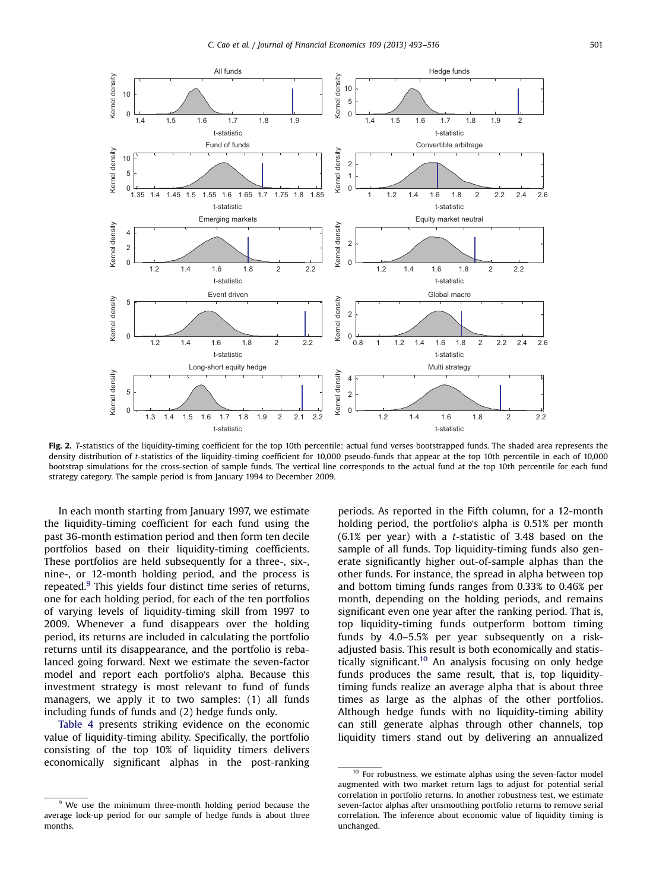<span id="page-8-0"></span>

Fig. 2. T-statistics of the liquidity-timing coefficient for the top 10th percentile: actual fund verses bootstrapped funds. The shaded area represents the density distribution of t-statistics of the liquidity-timing coefficient for 10,000 pseudo-funds that appear at the top 10th percentile in each of 10,000 bootstrap simulations for the cross-section of sample funds. The vertical line corresponds to the actual fund at the top 10th percentile for each fund strategy category. The sample period is from January 1994 to December 2009.

In each month starting from January 1997, we estimate the liquidity-timing coefficient for each fund using the past 36-month estimation period and then form ten decile portfolios based on their liquidity-timing coefficients. These portfolios are held subsequently for a three-, six-, nine-, or 12-month holding period, and the process is repeated.9 This yields four distinct time series of returns, one for each holding period, for each of the ten portfolios of varying levels of liquidity-timing skill from 1997 to 2009. Whenever a fund disappears over the holding period, its returns are included in calculating the portfolio returns until its disappearance, and the portfolio is rebalanced going forward. Next we estimate the seven-factor model and report each portfolio's alpha. Because this investment strategy is most relevant to fund of funds managers, we apply it to two samples: (1) all funds including funds of funds and (2) hedge funds only.

[Table 4](#page-9-0) presents striking evidence on the economic value of liquidity-timing ability. Specifically, the portfolio consisting of the top 10% of liquidity timers delivers economically significant alphas in the post-ranking

periods. As reported in the Fifth column, for a 12-month holding period, the portfolio's alpha is 0.51% per month (6.1% per year) with a t-statistic of 3.48 based on the sample of all funds. Top liquidity-timing funds also generate significantly higher out-of-sample alphas than the other funds. For instance, the spread in alpha between top and bottom timing funds ranges from 0.33% to 0.46% per month, depending on the holding periods, and remains significant even one year after the ranking period. That is, top liquidity-timing funds outperform bottom timing funds by 4.0–5.5% per year subsequently on a riskadjusted basis. This result is both economically and statistically significant.<sup>10</sup> An analysis focusing on only hedge funds produces the same result, that is, top liquiditytiming funds realize an average alpha that is about three times as large as the alphas of the other portfolios. Although hedge funds with no liquidity-timing ability can still generate alphas through other channels, top liquidity timers stand out by delivering an annualized

<sup>&</sup>lt;sup>9</sup> We use the minimum three-month holding period because the average lock-up period for our sample of hedge funds is about three months.

 $10$  For robustness, we estimate alphas using the seven-factor model augmented with two market return lags to adjust for potential serial correlation in portfolio returns. In another robustness test, we estimate seven-factor alphas after unsmoothing portfolio returns to remove serial correlation. The inference about economic value of liquidity timing is unchanged.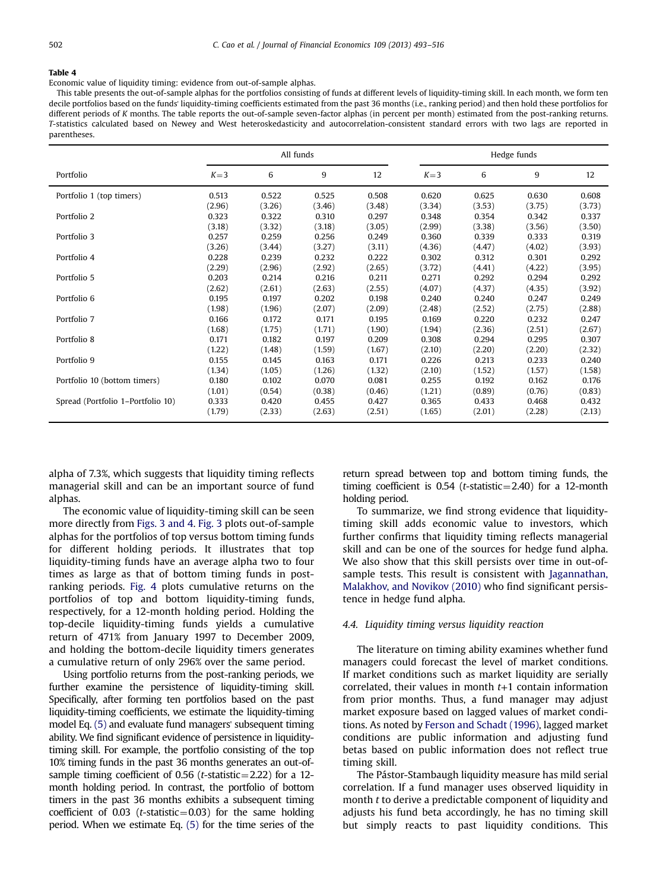<span id="page-9-0"></span>Economic value of liquidity timing: evidence from out-of-sample alphas.

This table presents the out-of-sample alphas for the portfolios consisting of funds at different levels of liquidity-timing skill. In each month, we form ten decile portfolios based on the funds' liquidity-timing coefficients estimated from the past 36 months (i.e., ranking period) and then hold these portfolios for different periods of K months. The table reports the out-of-sample seven-factor alphas (in percent per month) estimated from the post-ranking returns. T-statistics calculated based on Newey and West heteroskedasticity and autocorrelation-consistent standard errors with two lags are reported in parentheses.

|                                   |         |        | All funds |        | Hedge funds |        |        |        |  |
|-----------------------------------|---------|--------|-----------|--------|-------------|--------|--------|--------|--|
| Portfolio                         | $K = 3$ | 6      | 9         | 12     | $K = 3$     | 6      | 9      | 12     |  |
| Portfolio 1 (top timers)          | 0.513   | 0.522  | 0.525     | 0.508  | 0.620       | 0.625  | 0.630  | 0.608  |  |
| Portfolio 2                       | (2.96)  | (3.26) | (3.46)    | (3.48) | (3.34)      | (3.53) | (3.75) | (3.73) |  |
|                                   | 0.323   | 0.322  | 0.310     | 0.297  | 0.348       | 0.354  | 0.342  | 0.337  |  |
| Portfolio 3                       | (3.18)  | (3.32) | (3.18)    | (3.05) | (2.99)      | (3.38) | (3.56) | (3.50) |  |
|                                   | 0.257   | 0.259  | 0.256     | 0.249  | 0.360       | 0.339  | 0.333  | 0.319  |  |
| Portfolio 4                       | (3.26)  | (3.44) | (3.27)    | (3.11) | (4.36)      | (4.47) | (4.02) | (3.93) |  |
|                                   | 0.228   | 0.239  | 0.232     | 0.222  | 0.302       | 0.312  | 0.301  | 0.292  |  |
|                                   | (2.29)  | (2.96) | (2.92)    | (2.65) | (3.72)      | (4.41) | (4.22) | (3.95) |  |
| Portfolio 5                       | 0.203   | 0.214  | 0.216     | 0.211  | 0.271       | 0.292  | 0.294  | 0.292  |  |
|                                   | (2.62)  | (2.61) | (2.63)    | (2.55) | (4.07)      | (4.37) | (4.35) | (3.92) |  |
| Portfolio 6                       | 0.195   | 0.197  | 0.202     | 0.198  | 0.240       | 0.240  | 0.247  | 0.249  |  |
|                                   | (1.98)  | (1.96) | (2.07)    | (2.09) | (2.48)      | (2.52) | (2.75) | (2.88) |  |
| Portfolio 7                       | 0.166   | 0.172  | 0.171     | 0.195  | 0.169       | 0.220  | 0.232  | 0.247  |  |
|                                   | (1.68)  | (1.75) | (1.71)    | (1.90) | (1.94)      | (2.36) | (2.51) | (2.67) |  |
| Portfolio 8                       | 0.171   | 0.182  | 0.197     | 0.209  | 0.308       | 0.294  | 0.295  | 0.307  |  |
| Portfolio 9                       | (1.22)  | (1.48) | (1.59)    | (1.67) | (2.10)      | (2.20) | (2.20) | (2.32) |  |
|                                   | 0.155   | 0.145  | 0.163     | 0.171  | 0.226       | 0.213  | 0.233  | 0.240  |  |
| Portfolio 10 (bottom timers)      | (1.34)  | (1.05) | (1.26)    | (1.32) | (2.10)      | (1.52) | (1.57) | (1.58) |  |
|                                   | 0.180   | 0.102  | 0.070     | 0.081  | 0.255       | 0.192  | 0.162  | 0.176  |  |
|                                   | (1.01)  | (0.54) | (0.38)    | (0.46) | (1.21)      | (0.89) | (0.76) | (0.83) |  |
| Spread (Portfolio 1-Portfolio 10) | 0.333   | 0.420  | 0.455     | 0.427  | 0.365       | 0.433  | 0.468  | 0.432  |  |
|                                   | (1.79)  | (2.33) | (2.63)    | (2.51) | (1.65)      | (2.01) | (2.28) | (2.13) |  |

alpha of 7.3%, which suggests that liquidity timing reflects managerial skill and can be an important source of fund alphas.

The economic value of liquidity-timing skill can be seen more directly from [Figs. 3 and 4](#page-10-0). [Fig. 3](#page-10-0) plots out-of-sample alphas for the portfolios of top versus bottom timing funds for different holding periods. It illustrates that top liquidity-timing funds have an average alpha two to four times as large as that of bottom timing funds in postranking periods. [Fig. 4](#page-10-0) plots cumulative returns on the portfolios of top and bottom liquidity-timing funds, respectively, for a 12-month holding period. Holding the top-decile liquidity-timing funds yields a cumulative return of 471% from January 1997 to December 2009, and holding the bottom-decile liquidity timers generates a cumulative return of only 296% over the same period.

Using portfolio returns from the post-ranking periods, we further examine the persistence of liquidity-timing skill. Specifically, after forming ten portfolios based on the past liquidity-timing coefficients, we estimate the liquidity-timing model Eq. (5) and evaluate fund managers' subsequent timing ability. We find significant evidence of persistence in liquiditytiming skill. For example, the portfolio consisting of the top 10% timing funds in the past 36 months generates an out-ofsample timing coefficient of 0.56 ( $t$ -statistic = 2.22) for a 12month holding period. In contrast, the portfolio of bottom timers in the past 36 months exhibits a subsequent timing coefficient of 0.03 (*t*-statistic=0.03) for the same holding period. When we estimate Eq. (5) for the time series of the

return spread between top and bottom timing funds, the timing coefficient is 0.54 (t-statistic=2.40) for a 12-month holding period.

To summarize, we find strong evidence that liquiditytiming skill adds economic value to investors, which further confirms that liquidity timing reflects managerial skill and can be one of the sources for hedge fund alpha. We also show that this skill persists over time in out-ofsample tests. This result is consistent with [Jagannathan,](#page-23-0) [Malakhov, and Novikov \(2010\)](#page-23-0) who find significant persistence in hedge fund alpha.

## 4.4. Liquidity timing versus liquidity reaction

The literature on timing ability examines whether fund managers could forecast the level of market conditions. If market conditions such as market liquidity are serially correlated, their values in month  $t+1$  contain information from prior months. Thus, a fund manager may adjust market exposure based on lagged values of market conditions. As noted by [Ferson and Schadt \(1996\)](#page-22-0), lagged market conditions are public information and adjusting fund betas based on public information does not reflect true timing skill.

The Pástor-Stambaugh liquidity measure has mild serial correlation. If a fund manager uses observed liquidity in month t to derive a predictable component of liquidity and adjusts his fund beta accordingly, he has no timing skill but simply reacts to past liquidity conditions. This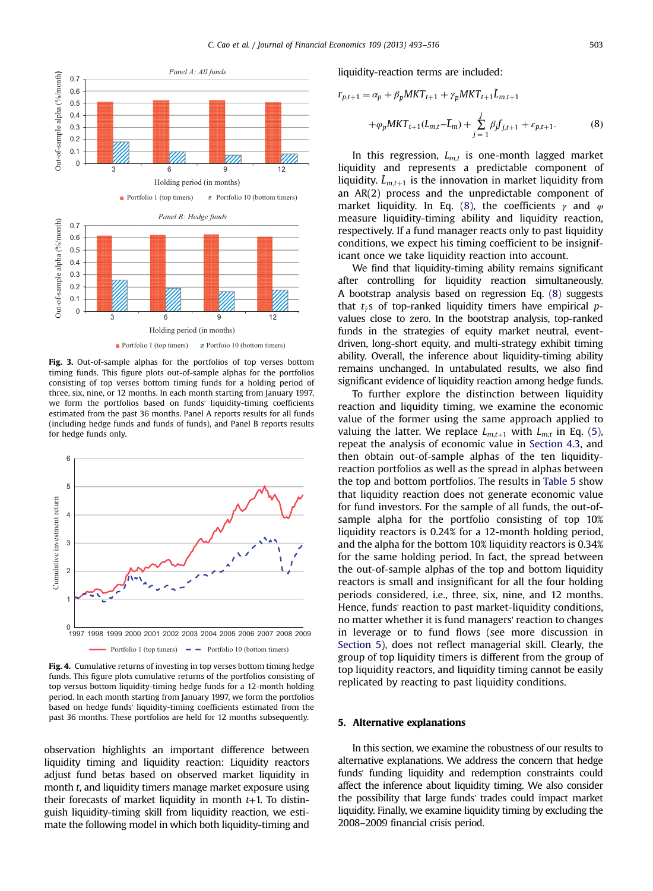<span id="page-10-0"></span>

Fig. 3. Out-of-sample alphas for the portfolios of top verses bottom timing funds. This figure plots out-of-sample alphas for the portfolios consisting of top verses bottom timing funds for a holding period of three, six, nine, or 12 months. In each month starting from January 1997, we form the portfolios based on funds' liquidity-timing coefficients estimated from the past 36 months. Panel A reports results for all funds (including hedge funds and funds of funds), and Panel B reports results for hedge funds only.



Fig. 4. Cumulative returns of investing in top verses bottom timing hedge funds. This figure plots cumulative returns of the portfolios consisting of top versus bottom liquidity-timing hedge funds for a 12-month holding period. In each month starting from January 1997, we form the portfolios based on hedge funds' liquidity-timing coefficients estimated from the past 36 months. These portfolios are held for 12 months subsequently.

observation highlights an important difference between liquidity timing and liquidity reaction: Liquidity reactors adjust fund betas based on observed market liquidity in month t, and liquidity timers manage market exposure using their forecasts of market liquidity in month  $t+1$ . To distinguish liquidity-timing skill from liquidity reaction, we estimate the following model in which both liquidity-timing and

liquidity-reaction terms are included:

$$
r_{p,t+1} = \alpha_p + \beta_p MKT_{t+1} + \gamma_p MKT_{t+1} \tilde{L}_{m,t+1}
$$
  
+ $\varphi_p MKT_{t+1}(L_{m,t} - \bar{L}_m) + \sum_{j=1}^{J} \beta_j f_{j,t+1} + \varepsilon_{p,t+1}.$  (8)

In this regression,  $L_{m,t}$  is one-month lagged market liquidity and represents a predictable component of liquidity.  $\tilde{L}_{m,t+1}$  is the innovation in market liquidity from an AR(2) process and the unpredictable component of market liquidity. In Eq. (8), the coefficients  $\gamma$  and  $\varphi$ measure liquidity-timing ability and liquidity reaction, respectively. If a fund manager reacts only to past liquidity conditions, we expect his timing coefficient to be insignificant once we take liquidity reaction into account.

We find that liquidity-timing ability remains significant after controlling for liquidity reaction simultaneously. A bootstrap analysis based on regression Eq. (8) suggests that  $t<sub>ε</sub>$ s of top-ranked liquidity timers have empirical pvalues close to zero. In the bootstrap analysis, top-ranked funds in the strategies of equity market neutral, eventdriven, long-short equity, and multi-strategy exhibit timing ability. Overall, the inference about liquidity-timing ability remains unchanged. In untabulated results, we also find significant evidence of liquidity reaction among hedge funds.

To further explore the distinction between liquidity reaction and liquidity timing, we examine the economic value of the former using the same approach applied to valuing the latter. We replace  $L_{m,t+1}$  with  $L_{m,t}$  in Eq. (5), repeat the analysis of economic value in [Section 4.3,](#page-7-0) and then obtain out-of-sample alphas of the ten liquidityreaction portfolios as well as the spread in alphas between the top and bottom portfolios. The results in [Table 5](#page-11-0) show that liquidity reaction does not generate economic value for fund investors. For the sample of all funds, the out-ofsample alpha for the portfolio consisting of top 10% liquidity reactors is 0.24% for a 12-month holding period, and the alpha for the bottom 10% liquidity reactors is 0.34% for the same holding period. In fact, the spread between the out-of-sample alphas of the top and bottom liquidity reactors is small and insignificant for all the four holding periods considered, i.e., three, six, nine, and 12 months. Hence, funds' reaction to past market-liquidity conditions, no matter whether it is fund managers' reaction to changes in leverage or to fund flows (see more discussion in Section 5), does not reflect managerial skill. Clearly, the group of top liquidity timers is different from the group of top liquidity reactors, and liquidity timing cannot be easily replicated by reacting to past liquidity conditions.

#### 5. Alternative explanations

In this section, we examine the robustness of our results to alternative explanations. We address the concern that hedge funds' funding liquidity and redemption constraints could affect the inference about liquidity timing. We also consider the possibility that large funds' trades could impact market liquidity. Finally, we examine liquidity timing by excluding the 2008–2009 financial crisis period.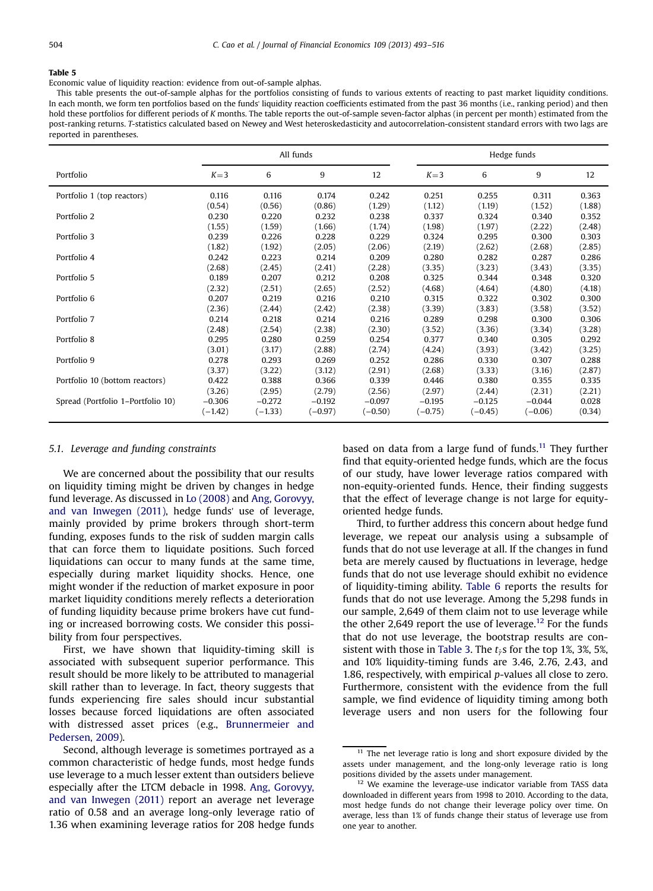<span id="page-11-0"></span>Economic value of liquidity reaction: evidence from out-of-sample alphas.

This table presents the out-of-sample alphas for the portfolios consisting of funds to various extents of reacting to past market liquidity conditions. In each month, we form ten portfolios based on the funds' liquidity reaction coefficients estimated from the past 36 months (i.e., ranking period) and then hold these portfolios for different periods of K months. The table reports the out-of-sample seven-factor alphas (in percent per month) estimated from the post-ranking returns. T-statistics calculated based on Newey and West heteroskedasticity and autocorrelation-consistent standard errors with two lags are reported in parentheses.

|                                   |           |           | All funds |           | Hedge funds |           |           |        |  |
|-----------------------------------|-----------|-----------|-----------|-----------|-------------|-----------|-----------|--------|--|
| Portfolio                         | $K = 3$   | 6         | 9         | 12        | $K = 3$     | 6         | 9         | 12     |  |
| Portfolio 1 (top reactors)        | 0.116     | 0.116     | 0.174     | 0.242     | 0.251       | 0.255     | 0.311     | 0.363  |  |
|                                   | (0.54)    | (0.56)    | (0.86)    | (1.29)    | (1.12)      | (1.19)    | (1.52)    | (1.88) |  |
| Portfolio 2                       | 0.230     | 0.220     | 0.232     | 0.238     | 0.337       | 0.324     | 0.340     | 0.352  |  |
|                                   | (1.55)    | (1.59)    | (1.66)    | (1.74)    | (1.98)      | (1.97)    | (2.22)    | (2.48) |  |
| Portfolio 3                       | 0.239     | 0.226     | 0.228     | 0.229     | 0.324       | 0.295     | 0.300     | 0.303  |  |
|                                   | (1.82)    | (1.92)    | (2.05)    | (2.06)    | (2.19)      | (2.62)    | (2.68)    | (2.85) |  |
| Portfolio 4                       | 0.242     | 0.223     | 0.214     | 0.209     | 0.280       | 0.282     | 0.287     | 0.286  |  |
|                                   | (2.68)    | (2.45)    | (2.41)    | (2.28)    | (3.35)      | (3.23)    | (3.43)    | (3.35) |  |
| Portfolio 5                       | 0.189     | 0.207     | 0.212     | 0.208     | 0.325       | 0.344     | 0.348     | 0.320  |  |
|                                   | (2.32)    | (2.51)    | (2.65)    | (2.52)    | (4.68)      | (4.64)    | (4.80)    | (4.18) |  |
| Portfolio 6                       | 0.207     | 0.219     | 0.216     | 0.210     | 0.315       | 0.322     | 0.302     | 0.300  |  |
|                                   | (2.36)    | (2.44)    | (2.42)    | (2.38)    | (3.39)      | (3.83)    | (3.58)    | (3.52) |  |
| Portfolio 7                       | 0.214     | 0.218     | 0.214     | 0.216     | 0.289       | 0.298     | 0.300     | 0.306  |  |
|                                   | (2.48)    | (2.54)    | (2.38)    | (2.30)    | (3.52)      | (3.36)    | (3.34)    | (3.28) |  |
| Portfolio 8                       | 0.295     | 0.280     | 0.259     | 0.254     | 0.377       | 0.340     | 0.305     | 0.292  |  |
|                                   | (3.01)    | (3.17)    | (2.88)    | (2.74)    | (4.24)      | (3.93)    | (3.42)    | (3.25) |  |
| Portfolio 9                       | 0.278     | 0.293     | 0.269     | 0.252     | 0.286       | 0.330     | 0.307     | 0.288  |  |
|                                   | (3.37)    | (3.22)    | (3.12)    | (2.91)    | (2.68)      | (3.33)    | (3.16)    | (2.87) |  |
| Portfolio 10 (bottom reactors)    | 0.422     | 0.388     | 0.366     | 0.339     | 0.446       | 0.380     | 0.355     | 0.335  |  |
|                                   | (3.26)    | (2.95)    | (2.79)    | (2.56)    | (2.97)      | (2.44)    | (2.31)    | (2.21) |  |
| Spread (Portfolio 1-Portfolio 10) | $-0.306$  | $-0.272$  | $-0.192$  | $-0.097$  | $-0.195$    | $-0.125$  | $-0.044$  | 0.028  |  |
|                                   | $(-1.42)$ | $(-1.33)$ | $(-0.97)$ | $(-0.50)$ | $(-0.75)$   | $(-0.45)$ | $(-0.06)$ | (0.34) |  |

## 5.1. Leverage and funding constraints

We are concerned about the possibility that our results on liquidity timing might be driven by changes in hedge fund leverage. As discussed in [Lo \(2008\)](#page-23-0) and [Ang, Gorovyy,](#page-22-0) [and van Inwegen \(2011\)](#page-22-0), hedge funds' use of leverage, mainly provided by prime brokers through short-term funding, exposes funds to the risk of sudden margin calls that can force them to liquidate positions. Such forced liquidations can occur to many funds at the same time, especially during market liquidity shocks. Hence, one might wonder if the reduction of market exposure in poor market liquidity conditions merely reflects a deterioration of funding liquidity because prime brokers have cut funding or increased borrowing costs. We consider this possibility from four perspectives.

First, we have shown that liquidity-timing skill is associated with subsequent superior performance. This result should be more likely to be attributed to managerial skill rather than to leverage. In fact, theory suggests that funds experiencing fire sales should incur substantial losses because forced liquidations are often associated with distressed asset prices (e.g., [Brunnermeier and](#page-22-0) [Pedersen, 2009](#page-22-0)).

Second, although leverage is sometimes portrayed as a common characteristic of hedge funds, most hedge funds use leverage to a much lesser extent than outsiders believe especially after the LTCM debacle in 1998. [Ang, Gorovyy,](#page-22-0) [and van Inwegen \(2011\)](#page-22-0) report an average net leverage ratio of 0.58 and an average long-only leverage ratio of 1.36 when examining leverage ratios for 208 hedge funds based on data from a large fund of funds.<sup>11</sup> They further find that equity-oriented hedge funds, which are the focus of our study, have lower leverage ratios compared with non-equity-oriented funds. Hence, their finding suggests that the effect of leverage change is not large for equityoriented hedge funds.

Third, to further address this concern about hedge fund leverage, we repeat our analysis using a subsample of funds that do not use leverage at all. If the changes in fund beta are merely caused by fluctuations in leverage, hedge funds that do not use leverage should exhibit no evidence of liquidity-timing ability. [Table 6](#page-12-0) reports the results for funds that do not use leverage. Among the 5,298 funds in our sample, 2,649 of them claim not to use leverage while the other 2,649 report the use of leverage.<sup>12</sup> For the funds that do not use leverage, the bootstrap results are con-sistent with those in [Table 3](#page-7-0). The  $t_2$ s for the top 1%, 3%, 5%, and 10% liquidity-timing funds are 3.46, 2.76, 2.43, and 1.86, respectively, with empirical p-values all close to zero. Furthermore, consistent with the evidence from the full sample, we find evidence of liquidity timing among both leverage users and non users for the following four

<sup>&</sup>lt;sup>11</sup> The net leverage ratio is long and short exposure divided by the assets under management, and the long-only leverage ratio is long positions divided by the assets under management.

<sup>&</sup>lt;sup>12</sup> We examine the leverage-use indicator variable from TASS data downloaded in different years from 1998 to 2010. According to the data, most hedge funds do not change their leverage policy over time. On average, less than 1% of funds change their status of leverage use from one year to another.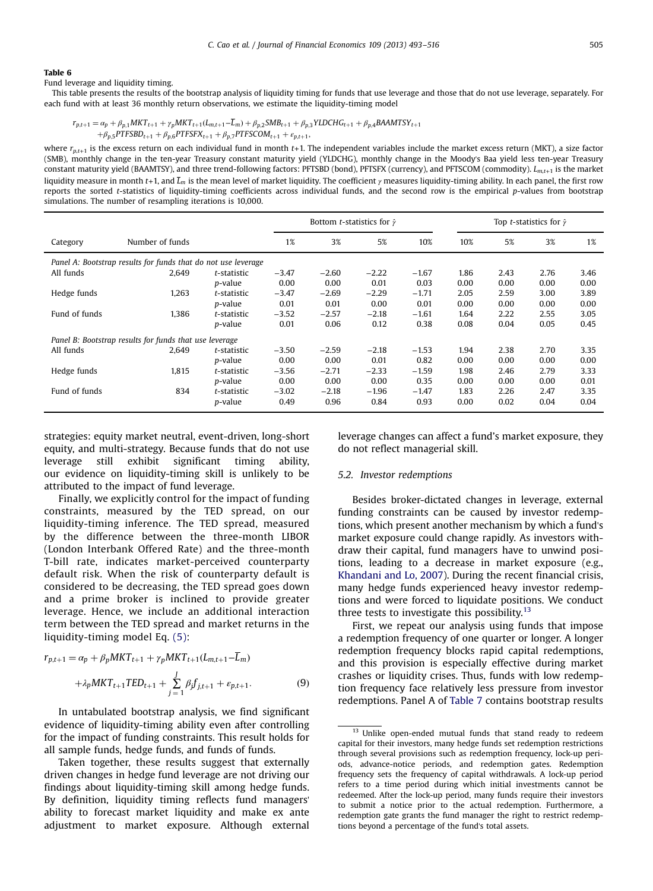<span id="page-12-0"></span>Fund leverage and liquidity timing.

This table presents the results of the bootstrap analysis of liquidity timing for funds that use leverage and those that do not use leverage, separately. For each fund with at least 36 monthly return observations, we estimate the liquidity-timing model

$$
r_{p,t+1} = \alpha_p + \beta_{p,1} MKr_{t+1} + \gamma_p MKr_{t+1}(L_{m,t+1} - \overline{L}_m) + \beta_{p,2} SMB_{t+1} + \beta_{p,3} YLDCHG_{t+1} + \beta_{p,4} BAAMTSY_{t+1} + \beta_{p,5} PTFSBD_{t+1} + \beta_{p,6} PTFSFX_{t+1} + \beta_{p,7} PTFSCOM_{t+1} + \varepsilon_{p,t+1},
$$

where  $r_{p,t+1}$  is the excess return on each individual fund in month t+1. The independent variables include the market excess return (MKT), a size factor (SMB), monthly change in the ten-year Treasury constant maturity yield (YLDCHG), monthly change in the Moody's Baa yield less ten-year Treasury constant maturity yield (BAAMTSY), and three trend-following factors: PFTSBD (bond), PFTSFX (currency), and PFTSCOM (commodity).  $L_{m,t+1}$  is the market liquidity measure in month t+1, and  $\overline{L}_m$  is the mean level of market liquidity. The coefficient  $\gamma$  measures liquidity-timing ability. In each panel, the first row reports the sorted t-statistics of liquidity-timing coefficients across individual funds, and the second row is the empirical p-values from bootstrap simulations. The number of resampling iterations is 10,000.

|               |                                                               |                 |         | Bottom <i>t</i> -statistics for $\hat{\gamma}$ |         |         |      |      | Top <i>t</i> -statistics for $\hat{\gamma}$ |      |
|---------------|---------------------------------------------------------------|-----------------|---------|------------------------------------------------|---------|---------|------|------|---------------------------------------------|------|
| Category      | Number of funds                                               |                 | 1%      | 3%                                             | 5%      | 10%     | 10%  | 5%   | 3%                                          | 1%   |
|               | Panel A: Bootstrap results for funds that do not use leverage |                 |         |                                                |         |         |      |      |                                             |      |
| All funds     | 2.649                                                         | t-statistic     | $-3.47$ | $-2.60$                                        | $-2.22$ | $-1.67$ | 1.86 | 2.43 | 2.76                                        | 3.46 |
|               |                                                               | <i>p</i> -value | 0.00    | 0.00                                           | 0.01    | 0.03    | 0.00 | 0.00 | 0.00                                        | 0.00 |
| Hedge funds   | 1.263                                                         | t-statistic     | $-3.47$ | $-2.69$                                        | $-2.29$ | $-1.71$ | 2.05 | 2.59 | 3.00                                        | 3.89 |
|               |                                                               | <i>p</i> -value | 0.01    | 0.01                                           | 0.00    | 0.01    | 0.00 | 0.00 | 0.00                                        | 0.00 |
| Fund of funds | 1.386                                                         | t-statistic     | $-3.52$ | $-2.57$                                        | $-2.18$ | $-1.61$ | 1.64 | 2.22 | 2.55                                        | 3.05 |
|               |                                                               | p-value         | 0.01    | 0.06                                           | 0.12    | 0.38    | 0.08 | 0.04 | 0.05                                        | 0.45 |
|               | Panel B: Bootstrap results for funds that use leverage        |                 |         |                                                |         |         |      |      |                                             |      |
| All funds     | 2.649                                                         | t-statistic     | $-3.50$ | $-2.59$                                        | $-2.18$ | $-1.53$ | 1.94 | 2.38 | 2.70                                        | 3.35 |
|               |                                                               | <i>p</i> -value | 0.00    | 0.00                                           | 0.01    | 0.82    | 0.00 | 0.00 | 0.00                                        | 0.00 |
| Hedge funds   | 1.815                                                         | t-statistic     | $-3.56$ | $-2.71$                                        | $-2.33$ | $-1.59$ | 1.98 | 2.46 | 2.79                                        | 3.33 |
|               |                                                               | <i>p</i> -value | 0.00    | 0.00                                           | 0.00    | 0.35    | 0.00 | 0.00 | 0.00                                        | 0.01 |
| Fund of funds | 834                                                           | t-statistic     | $-3.02$ | $-2.18$                                        | $-1.96$ | $-1.47$ | 1.83 | 2.26 | 2.47                                        | 3.35 |
|               |                                                               | p-value         | 0.49    | 0.96                                           | 0.84    | 0.93    | 0.00 | 0.02 | 0.04                                        | 0.04 |

strategies: equity market neutral, event-driven, long-short equity, and multi-strategy. Because funds that do not use leverage still exhibit significant timing ability, our evidence on liquidity-timing skill is unlikely to be attributed to the impact of fund leverage.

Finally, we explicitly control for the impact of funding constraints, measured by the TED spread, on our liquidity-timing inference. The TED spread, measured by the difference between the three-month LIBOR (London Interbank Offered Rate) and the three-month T-bill rate, indicates market-perceived counterparty default risk. When the risk of counterparty default is considered to be decreasing, the TED spread goes down and a prime broker is inclined to provide greater leverage. Hence, we include an additional interaction term between the TED spread and market returns in the liquidity-timing model Eq. (5):

$$
r_{p,t+1} = \alpha_p + \beta_p MKT_{t+1} + \gamma_p MKT_{t+1}(L_{m,t+1} - \bar{L}_m)
$$

$$
+ \lambda_p MKT_{t+1} TED_{t+1} + \sum_{j=1}^{J} \beta_j f_{j,t+1} + \varepsilon_{p,t+1}.
$$
 (9)

In untabulated bootstrap analysis, we find significant evidence of liquidity-timing ability even after controlling for the impact of funding constraints. This result holds for all sample funds, hedge funds, and funds of funds.

Taken together, these results suggest that externally driven changes in hedge fund leverage are not driving our findings about liquidity-timing skill among hedge funds. By definition, liquidity timing reflects fund managers' ability to forecast market liquidity and make ex ante adjustment to market exposure. Although external

leverage changes can affect a fund's market exposure, they do not reflect managerial skill.

#### 5.2. Investor redemptions

Besides broker-dictated changes in leverage, external funding constraints can be caused by investor redemptions, which present another mechanism by which a fund's market exposure could change rapidly. As investors withdraw their capital, fund managers have to unwind positions, leading to a decrease in market exposure (e.g., [Khandani and Lo, 2007\)](#page-23-0). During the recent financial crisis, many hedge funds experienced heavy investor redemptions and were forced to liquidate positions. We conduct three tests to investigate this possibility.<sup>13</sup>

First, we repeat our analysis using funds that impose a redemption frequency of one quarter or longer. A longer redemption frequency blocks rapid capital redemptions, and this provision is especially effective during market crashes or liquidity crises. Thus, funds with low redemption frequency face relatively less pressure from investor redemptions. Panel A of [Table 7](#page-14-0) contains bootstrap results

<sup>&</sup>lt;sup>13</sup> Unlike open-ended mutual funds that stand ready to redeem capital for their investors, many hedge funds set redemption restrictions through several provisions such as redemption frequency, lock-up periods, advance-notice periods, and redemption gates. Redemption frequency sets the frequency of capital withdrawals. A lock-up period refers to a time period during which initial investments cannot be redeemed. After the lock-up period, many funds require their investors to submit a notice prior to the actual redemption. Furthermore, a redemption gate grants the fund manager the right to restrict redemptions beyond a percentage of the fund's total assets.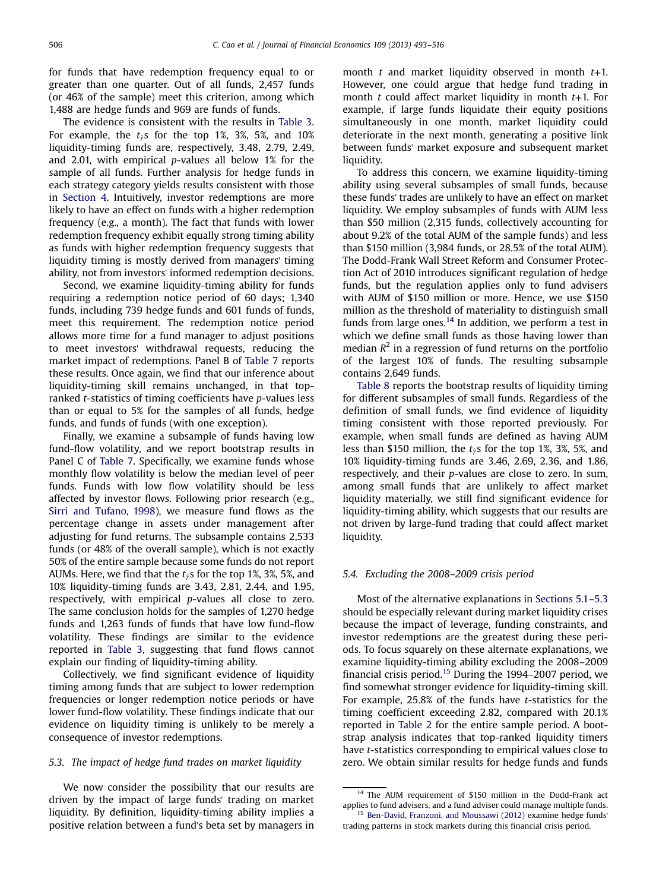for funds that have redemption frequency equal to or greater than one quarter. Out of all funds, 2,457 funds (or 46% of the sample) meet this criterion, among which 1,488 are hedge funds and 969 are funds of funds.

The evidence is consistent with the results in [Table 3](#page-7-0). For example, the  $t<sub>γ</sub>$ s for the top 1%, 3%, 5%, and 10% liquidity-timing funds are, respectively, 3.48, 2.79, 2.49, and 2.01, with empirical p-values all below 1% for the sample of all funds. Further analysis for hedge funds in each strategy category yields results consistent with those in [Section 4.](#page-4-0) Intuitively, investor redemptions are more likely to have an effect on funds with a higher redemption frequency (e.g., a month). The fact that funds with lower redemption frequency exhibit equally strong timing ability as funds with higher redemption frequency suggests that liquidity timing is mostly derived from managers' timing ability, not from investors' informed redemption decisions.

Second, we examine liquidity-timing ability for funds requiring a redemption notice period of 60 days; 1,340 funds, including 739 hedge funds and 601 funds of funds, meet this requirement. The redemption notice period allows more time for a fund manager to adjust positions to meet investors' withdrawal requests, reducing the market impact of redemptions. Panel B of [Table 7](#page-14-0) reports these results. Once again, we find that our inference about liquidity-timing skill remains unchanged, in that topranked t-statistics of timing coefficients have p-values less than or equal to 5% for the samples of all funds, hedge funds, and funds of funds (with one exception).

Finally, we examine a subsample of funds having low fund-flow volatility, and we report bootstrap results in Panel C of [Table 7](#page-14-0). Specifically, we examine funds whose monthly flow volatility is below the median level of peer funds. Funds with low flow volatility should be less affected by investor flows. Following prior research (e.g., [Sirri and Tufano, 1998\)](#page-23-0), we measure fund flows as the percentage change in assets under management after adjusting for fund returns. The subsample contains 2,533 funds (or 48% of the overall sample), which is not exactly 50% of the entire sample because some funds do not report AUMs. Here, we find that the  $t<sub>γ</sub>$ s for the top 1%, 3%, 5%, and 10% liquidity-timing funds are 3.43, 2.81, 2.44, and 1.95, respectively, with empirical p-values all close to zero. The same conclusion holds for the samples of 1,270 hedge funds and 1,263 funds of funds that have low fund-flow volatility. These findings are similar to the evidence reported in [Table 3,](#page-7-0) suggesting that fund flows cannot explain our finding of liquidity-timing ability.

Collectively, we find significant evidence of liquidity timing among funds that are subject to lower redemption frequencies or longer redemption notice periods or have lower fund-flow volatility. These findings indicate that our evidence on liquidity timing is unlikely to be merely a consequence of investor redemptions.

#### 5.3. The impact of hedge fund trades on market liquidity

We now consider the possibility that our results are driven by the impact of large funds' trading on market liquidity. By definition, liquidity-timing ability implies a positive relation between a fund's beta set by managers in month  $t$  and market liquidity observed in month  $t+1$ . However, one could argue that hedge fund trading in month t could affect market liquidity in month  $t+1$ . For example, if large funds liquidate their equity positions simultaneously in one month, market liquidity could deteriorate in the next month, generating a positive link between funds' market exposure and subsequent market liquidity.

To address this concern, we examine liquidity-timing ability using several subsamples of small funds, because these funds' trades are unlikely to have an effect on market liquidity. We employ subsamples of funds with AUM less than \$50 million (2,315 funds, collectively accounting for about 9.2% of the total AUM of the sample funds) and less than \$150 million (3,984 funds, or 28.5% of the total AUM). The Dodd-Frank Wall Street Reform and Consumer Protection Act of 2010 introduces significant regulation of hedge funds, but the regulation applies only to fund advisers with AUM of \$150 million or more. Hence, we use \$150 million as the threshold of materiality to distinguish small funds from large ones. $14$  In addition, we perform a test in which we define small funds as those having lower than median  $R^2$  in a regression of fund returns on the portfolio of the largest 10% of funds. The resulting subsample contains 2,649 funds.

[Table 8](#page-15-0) reports the bootstrap results of liquidity timing for different subsamples of small funds. Regardless of the definition of small funds, we find evidence of liquidity timing consistent with those reported previously. For example, when small funds are defined as having AUM less than \$150 million, the  $t<sub>\hat{y}</sub>$ s for the top 1%, 3%, 5%, and 10% liquidity-timing funds are 3.46, 2.69, 2.36, and 1.86, respectively, and their p-values are close to zero. In sum, among small funds that are unlikely to affect market liquidity materially, we still find significant evidence for liquidity-timing ability, which suggests that our results are not driven by large-fund trading that could affect market liquidity.

#### 5.4. Excluding the 2008–2009 crisis period

Most of the alternative explanations in [Sections 5.1](#page-11-0)–5.3 should be especially relevant during market liquidity crises because the impact of leverage, funding constraints, and investor redemptions are the greatest during these periods. To focus squarely on these alternate explanations, we examine liquidity-timing ability excluding the 2008–2009 financial crisis period.<sup>15</sup> During the 1994–2007 period, we find somewhat stronger evidence for liquidity-timing skill. For example, 25.8% of the funds have t-statistics for the timing coefficient exceeding 2.82, compared with 20.1% reported in [Table 2](#page-6-0) for the entire sample period. A bootstrap analysis indicates that top-ranked liquidity timers have t-statistics corresponding to empirical values close to zero. We obtain similar results for hedge funds and funds

<sup>&</sup>lt;sup>14</sup> The AUM requirement of \$150 million in the Dodd-Frank act applies to fund advisers, and a fund adviser could manage multiple funds.

<sup>15</sup> [Ben-David, Franzoni, and Moussawi \(2012\)](#page-22-0) examine hedge funds' trading patterns in stock markets during this financial crisis period.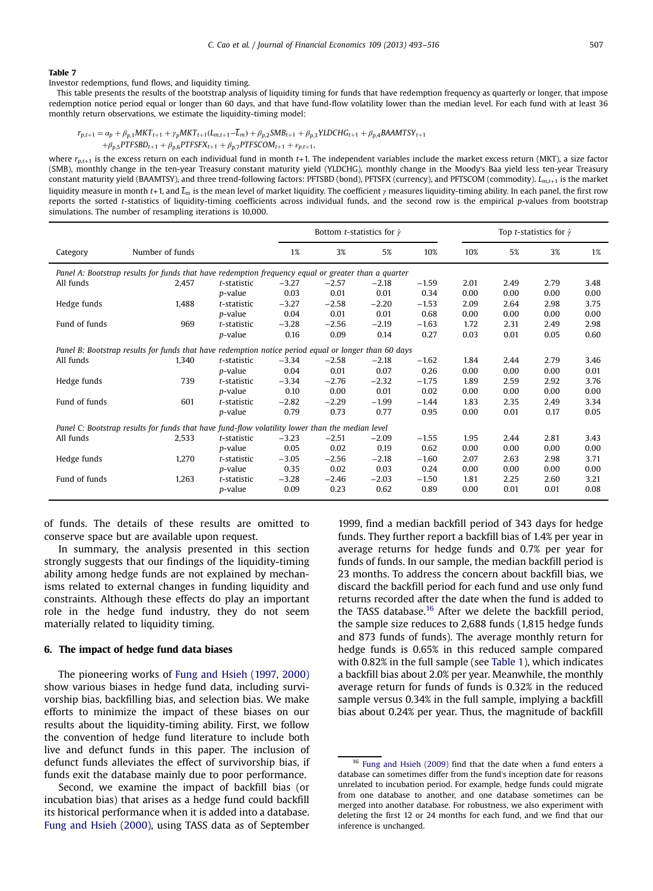<span id="page-14-0"></span>Investor redemptions, fund flows, and liquidity timing.

This table presents the results of the bootstrap analysis of liquidity timing for funds that have redemption frequency as quarterly or longer, that impose redemption notice period equal or longer than 60 days, and that have fund-flow volatility lower than the median level. For each fund with at least 36 monthly return observations, we estimate the liquidity-timing model:

$$
r_{p,t+1} = \alpha_p + \beta_{p,1} MKr_{t+1} + \gamma_p MKr_{t+1}(L_{m,t+1} - \overline{L}_m) + \beta_{p,2} SMB_{t+1} + \beta_{p,3} YLDCHG_{t+1} + \beta_{p,4} BAAMTSY_{t+1} + \beta_{p,5} PTFSBD_{t+1} + \beta_{p,6} PTFSEX_{t+1} + \beta_{p,7} PTFSCOM_{t+1} + \epsilon_{p,t+1},
$$

where  $r_{p,t+1}$  is the excess return on each individual fund in month t+1. The independent variables include the market excess return (MKT), a size factor (SMB), monthly change in the ten-year Treasury constant maturity yield (YLDCHG), monthly change in the Moody's Baa yield less ten-year Treasury constant maturity yield (BAAMTSY), and three trend-following factors: PFTSBD (bond), PFTSFX (currency), and PFTSCOM (commodity).  $L_{m,t+1}$  is the market liquidity measure in month t+1, and  $\overline{L}_m$  is the mean level of market liquidity. The coefficient  $\gamma$  measures liquidity-timing ability. In each panel, the first row reports the sorted t-statistics of liquidity-timing coefficients across individual funds, and the second row is the empirical p-values from bootstrap simulations. The number of resampling iterations is 10,000.

|               |                                                                                                      |                 |         |         | Bottom <i>t</i> -statistics for $\hat{\gamma}$ |         |      |      | Top <i>t</i> -statistics for $\hat{\gamma}$ |      |
|---------------|------------------------------------------------------------------------------------------------------|-----------------|---------|---------|------------------------------------------------|---------|------|------|---------------------------------------------|------|
| Category      | Number of funds                                                                                      |                 | 1%      | 3%      | 5%                                             | 10%     | 10%  | 5%   | 3%                                          | 1%   |
|               | Panel A: Bootstrap results for funds that have redemption frequency equal or greater than a quarter  |                 |         |         |                                                |         |      |      |                                             |      |
| All funds     | 2,457                                                                                                | t-statistic     | $-3.27$ | $-2.57$ | $-2.18$                                        | $-1.59$ | 2.01 | 2.49 | 2.79                                        | 3.48 |
|               |                                                                                                      | p-value         | 0.03    | 0.01    | 0.01                                           | 0.34    | 0.00 | 0.00 | 0.00                                        | 0.00 |
| Hedge funds   | 1,488                                                                                                | t-statistic     | $-3.27$ | $-2.58$ | $-2.20$                                        | $-1.53$ | 2.09 | 2.64 | 2.98                                        | 3.75 |
|               |                                                                                                      | p-value         | 0.04    | 0.01    | 0.01                                           | 0.68    | 0.00 | 0.00 | 0.00                                        | 0.00 |
| Fund of funds | 969                                                                                                  | t-statistic     | $-3.28$ | $-2.56$ | $-2.19$                                        | $-1.63$ | 1.72 | 2.31 | 2.49                                        | 2.98 |
|               |                                                                                                      | p-value         | 0.16    | 0.09    | 0.14                                           | 0.27    | 0.03 | 0.01 | 0.05                                        | 0.60 |
|               | Panel B: Bootstrap results for funds that have redemption notice period equal or longer than 60 days |                 |         |         |                                                |         |      |      |                                             |      |
| All funds     | 1,340                                                                                                | t-statistic     | $-3.34$ | $-2.58$ | $-2.18$                                        | $-1.62$ | 1.84 | 2.44 | 2.79                                        | 3.46 |
|               |                                                                                                      | p-value         | 0.04    | 0.01    | 0.07                                           | 0.26    | 0.00 | 0.00 | 0.00                                        | 0.01 |
| Hedge funds   | 739                                                                                                  | t-statistic     | $-3.34$ | $-2.76$ | $-2.32$                                        | $-1.75$ | 1.89 | 2.59 | 2.92                                        | 3.76 |
|               |                                                                                                      | p-value         | 0.10    | 0.00    | 0.01                                           | 0.02    | 0.00 | 0.00 | 0.00                                        | 0.00 |
| Fund of funds | 601                                                                                                  | t-statistic     | $-2.82$ | $-2.29$ | $-1.99$                                        | $-1.44$ | 1.83 | 2.35 | 2.49                                        | 3.34 |
|               |                                                                                                      | <i>p</i> -value | 0.79    | 0.73    | 0.77                                           | 0.95    | 0.00 | 0.01 | 0.17                                        | 0.05 |
|               | Panel C: Bootstrap results for funds that have fund-flow volatility lower than the median level      |                 |         |         |                                                |         |      |      |                                             |      |
| All funds     | 2,533                                                                                                | t-statistic     | $-3.23$ | $-2.51$ | $-2.09$                                        | $-1.55$ | 1.95 | 2.44 | 2.81                                        | 3.43 |
|               |                                                                                                      | p-value         | 0.05    | 0.02    | 0.19                                           | 0.62    | 0.00 | 0.00 | 0.00                                        | 0.00 |
| Hedge funds   | 1,270                                                                                                | t-statistic     | $-3.05$ | $-2.56$ | $-2.18$                                        | $-1.60$ | 2.07 | 2.63 | 2.98                                        | 3.71 |
|               |                                                                                                      | p-value         | 0.35    | 0.02    | 0.03                                           | 0.24    | 0.00 | 0.00 | 0.00                                        | 0.00 |
| Fund of funds | 1,263                                                                                                | t-statistic     | $-3.28$ | $-2.46$ | $-2.03$                                        | $-1.50$ | 1.81 | 2.25 | 2.60                                        | 3.21 |
|               |                                                                                                      | <i>p</i> -value | 0.09    | 0.23    | 0.62                                           | 0.89    | 0.00 | 0.01 | 0.01                                        | 0.08 |

of funds. The details of these results are omitted to conserve space but are available upon request.

In summary, the analysis presented in this section strongly suggests that our findings of the liquidity-timing ability among hedge funds are not explained by mechanisms related to external changes in funding liquidity and constraints. Although these effects do play an important role in the hedge fund industry, they do not seem materially related to liquidity timing.

## 6. The impact of hedge fund data biases

The pioneering works of [Fung and Hsieh \(1997,](#page-22-0) [2000\)](#page-23-0) show various biases in hedge fund data, including survivorship bias, backfilling bias, and selection bias. We make efforts to minimize the impact of these biases on our results about the liquidity-timing ability. First, we follow the convention of hedge fund literature to include both live and defunct funds in this paper. The inclusion of defunct funds alleviates the effect of survivorship bias, if funds exit the database mainly due to poor performance.

Second, we examine the impact of backfill bias (or incubation bias) that arises as a hedge fund could backfill its historical performance when it is added into a database. [Fung and Hsieh \(2000\),](#page-23-0) using TASS data as of September

1999, find a median backfill period of 343 days for hedge funds. They further report a backfill bias of 1.4% per year in average returns for hedge funds and 0.7% per year for funds of funds. In our sample, the median backfill period is 23 months. To address the concern about backfill bias, we discard the backfill period for each fund and use only fund returns recorded after the date when the fund is added to the TASS database.<sup>16</sup> After we delete the backfill period, the sample size reduces to 2,688 funds (1,815 hedge funds and 873 funds of funds). The average monthly return for hedge funds is 0.65% in this reduced sample compared with 0.82% in the full sample (see [Table 1\)](#page-5-0), which indicates a backfill bias about 2.0% per year. Meanwhile, the monthly average return for funds of funds is 0.32% in the reduced sample versus 0.34% in the full sample, implying a backfill bias about 0.24% per year. Thus, the magnitude of backfill

<sup>&</sup>lt;sup>16</sup> [Fung and Hsieh \(2009\)](#page-23-0) find that the date when a fund enters a database can sometimes differ from the fund's inception date for reasons unrelated to incubation period. For example, hedge funds could migrate from one database to another, and one database sometimes can be merged into another database. For robustness, we also experiment with deleting the first 12 or 24 months for each fund, and we find that our inference is unchanged.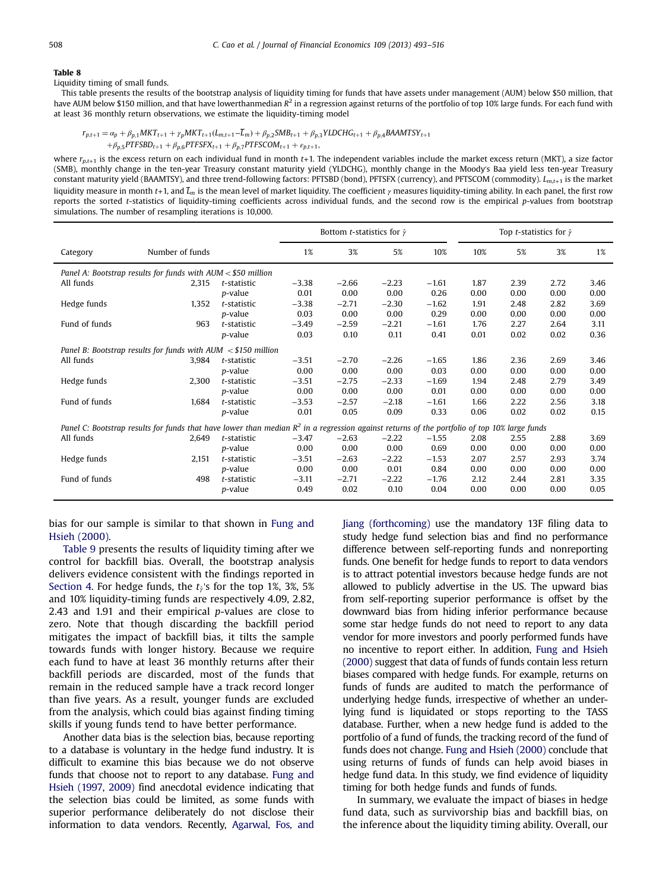<span id="page-15-0"></span>Liquidity timing of small funds.

This table presents the results of the bootstrap analysis of liquidity timing for funds that have assets under management (AUM) below \$50 million, that have AUM below \$150 million, and that have lowerthanmedian  $R^2$  in a regression against returns of the portfolio of top 10% large funds. For each fund with at least 36 monthly return observations, we estimate the liquidity-timing model

$$
\begin{aligned} r_{p,t+1} = \alpha_p + \beta_{p,1} MKr_{t+1} + \gamma_p MKr_{t+1} (L_{m,t+1} - \overline{L}_m) + \beta_{p,2} SMB_{t+1} + \beta_{p,3} YLDCHG_{t+1} + \beta_{p,4} BAAMTSY_{t+1} \\ + \beta_{p,5} PTFSBD_{t+1} + \beta_{p,6} PTFSEX_{t+1} + \beta_{p,7} PTFSCOM_{t+1} + \epsilon_{p,t+1}, \end{aligned}
$$

where  $r_{p,t+1}$  is the excess return on each individual fund in month t+1. The independent variables include the market excess return (MKT), a size factor (SMB), monthly change in the ten-year Treasury constant maturity yield (YLDCHG), monthly change in the Moody's Baa yield less ten-year Treasury constant maturity yield (BAAMTSY), and three trend-following factors: PFTSBD (bond), PFTSFX (currency), and PFTSCOM (commodity).  $L_{m,t+1}$  is the market liquidity measure in month t+1, and  $\overline{L}_m$  is the mean level of market liquidity. The coefficient  $\gamma$  measures liquidity-timing ability. In each panel, the first row reports the sorted t-statistics of liquidity-timing coefficients across individual funds, and the second row is the empirical p-values from bootstrap simulations. The number of resampling iterations is 10,000.

|                                                                                                                                                |                 |                 |         |         | Bottom <i>t</i> -statistics for $\hat{\gamma}$ |         |      | Top <i>t</i> -statistics for $\hat{\gamma}$ |      |      |
|------------------------------------------------------------------------------------------------------------------------------------------------|-----------------|-----------------|---------|---------|------------------------------------------------|---------|------|---------------------------------------------|------|------|
| Category                                                                                                                                       | Number of funds |                 | 1%      | 3%      | 5%                                             | 10%     | 10%  | 5%                                          | 3%   | 1%   |
| Panel A: Bootstrap results for funds with $AUM < $50$ million                                                                                  |                 |                 |         |         |                                                |         |      |                                             |      |      |
| All funds                                                                                                                                      | 2.315           | t-statistic     | $-3.38$ | $-2.66$ | $-2.23$                                        | $-1.61$ | 1.87 | 2.39                                        | 2.72 | 3.46 |
|                                                                                                                                                |                 | p-value         | 0.01    | 0.00    | 0.00                                           | 0.26    | 0.00 | 0.00                                        | 0.00 | 0.00 |
| Hedge funds                                                                                                                                    | 1,352           | t-statistic     | $-3.38$ | $-2.71$ | $-2.30$                                        | $-1.62$ | 1.91 | 2.48                                        | 2.82 | 3.69 |
|                                                                                                                                                |                 | p-value         | 0.03    | 0.00    | 0.00                                           | 0.29    | 0.00 | 0.00                                        | 0.00 | 0.00 |
| Fund of funds                                                                                                                                  | 963             | t-statistic     | $-3.49$ | $-2.59$ | $-2.21$                                        | $-1.61$ | 1.76 | 2.27                                        | 2.64 | 3.11 |
|                                                                                                                                                |                 | <i>p</i> -value | 0.03    | 0.10    | 0.11                                           | 0.41    | 0.01 | 0.02                                        | 0.02 | 0.36 |
| Panel B: Bootstrap results for funds with $AUM < $150$ million                                                                                 |                 |                 |         |         |                                                |         |      |                                             |      |      |
| All funds                                                                                                                                      | 3.984           | t-statistic     | $-3.51$ | $-2.70$ | $-2.26$                                        | $-1.65$ | 1.86 | 2.36                                        | 2.69 | 3.46 |
|                                                                                                                                                |                 | p-value         | 0.00    | 0.00    | 0.00                                           | 0.03    | 0.00 | 0.00                                        | 0.00 | 0.00 |
| Hedge funds                                                                                                                                    | 2,300           | t-statistic     | $-3.51$ | $-2.75$ | $-2.33$                                        | $-1.69$ | 1.94 | 2.48                                        | 2.79 | 3.49 |
|                                                                                                                                                |                 | p-value         | 0.00    | 0.00    | 0.00                                           | 0.01    | 0.00 | 0.00                                        | 0.00 | 0.00 |
| Fund of funds                                                                                                                                  | 1,684           | t-statistic     | $-3.53$ | $-2.57$ | $-2.18$                                        | $-1.61$ | 1.66 | 2.22                                        | 2.56 | 3.18 |
|                                                                                                                                                |                 | p-value         | 0.01    | 0.05    | 0.09                                           | 0.33    | 0.06 | 0.02                                        | 0.02 | 0.15 |
| Panel C: Bootstrap results for funds that have lower than median $R^2$ in a regression against returns of the portfolio of top 10% large funds |                 |                 |         |         |                                                |         |      |                                             |      |      |
| All funds                                                                                                                                      | 2.649           | t-statistic     | $-3.47$ | $-2.63$ | $-2.22$                                        | $-1.55$ | 2.08 | 2.55                                        | 2.88 | 3.69 |
|                                                                                                                                                |                 | p-value         | 0.00    | 0.00    | 0.00                                           | 0.69    | 0.00 | 0.00                                        | 0.00 | 0.00 |
| Hedge funds                                                                                                                                    | 2.151           | t-statistic     | $-3.51$ | $-2.63$ | $-2.22$                                        | $-1.53$ | 2.07 | 2.57                                        | 2.93 | 3.74 |
|                                                                                                                                                |                 | p-value         | 0.00    | 0.00    | 0.01                                           | 0.84    | 0.00 | 0.00                                        | 0.00 | 0.00 |
| Fund of funds                                                                                                                                  | 498             | t-statistic     | $-3.11$ | $-2.71$ | $-2.22$                                        | $-1.76$ | 2.12 | 2.44                                        | 2.81 | 3.35 |
|                                                                                                                                                |                 | p-value         | 0.49    | 0.02    | 0.10                                           | 0.04    | 0.00 | 0.00                                        | 0.00 | 0.05 |

bias for our sample is similar to that shown in [Fung and](#page-23-0) [Hsieh \(2000\).](#page-23-0)

[Table 9](#page-16-0) presents the results of liquidity timing after we control for backfill bias. Overall, the bootstrap analysis delivers evidence consistent with the findings reported in [Section 4](#page-4-0). For hedge funds, the  $t<sub>i</sub>$ 's for the top 1%, 3%, 5% and 10% liquidity-timing funds are respectively 4.09, 2.82, 2.43 and 1.91 and their empirical p-values are close to zero. Note that though discarding the backfill period mitigates the impact of backfill bias, it tilts the sample towards funds with longer history. Because we require each fund to have at least 36 monthly returns after their backfill periods are discarded, most of the funds that remain in the reduced sample have a track record longer than five years. As a result, younger funds are excluded from the analysis, which could bias against finding timing skills if young funds tend to have better performance.

Another data bias is the selection bias, because reporting to a database is voluntary in the hedge fund industry. It is difficult to examine this bias because we do not observe funds that choose not to report to any database. [Fung and](#page-22-0) [Hsieh \(1997](#page-22-0), [2009\)](#page-23-0) find anecdotal evidence indicating that the selection bias could be limited, as some funds with superior performance deliberately do not disclose their information to data vendors. Recently, [Agarwal, Fos, and](#page-22-0) [Jiang \(forthcoming\)](#page-22-0) use the mandatory 13F filing data to study hedge fund selection bias and find no performance difference between self-reporting funds and nonreporting funds. One benefit for hedge funds to report to data vendors is to attract potential investors because hedge funds are not allowed to publicly advertise in the US. The upward bias from self-reporting superior performance is offset by the downward bias from hiding inferior performance because some star hedge funds do not need to report to any data vendor for more investors and poorly performed funds have no incentive to report either. In addition, [Fung and Hsieh](#page-23-0) [\(2000\)](#page-23-0) suggest that data of funds of funds contain less return biases compared with hedge funds. For example, returns on funds of funds are audited to match the performance of underlying hedge funds, irrespective of whether an underlying fund is liquidated or stops reporting to the TASS database. Further, when a new hedge fund is added to the portfolio of a fund of funds, the tracking record of the fund of funds does not change. [Fung and Hsieh \(2000\)](#page-23-0) conclude that using returns of funds of funds can help avoid biases in hedge fund data. In this study, we find evidence of liquidity timing for both hedge funds and funds of funds.

In summary, we evaluate the impact of biases in hedge fund data, such as survivorship bias and backfill bias, on the inference about the liquidity timing ability. Overall, our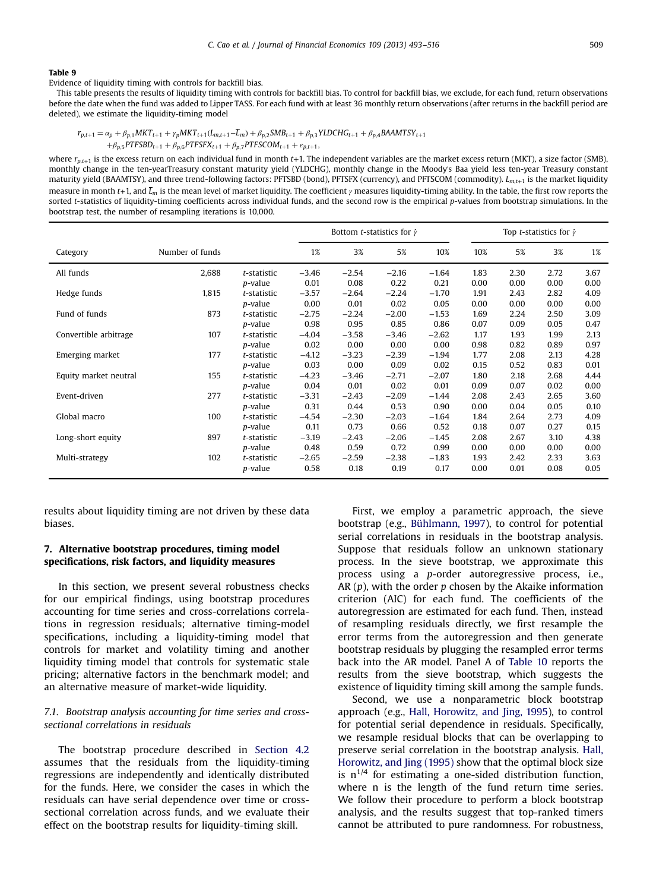<span id="page-16-0"></span>Evidence of liquidity timing with controls for backfill bias.

This table presents the results of liquidity timing with controls for backfill bias. To control for backfill bias, we exclude, for each fund, return observations before the date when the fund was added to Lipper TASS. For each fund with at least 36 monthly return observations (after returns in the backfill period are deleted), we estimate the liquidity-timing model

$$
r_{p,t+1} = \alpha_p + \beta_{p,1} MKT_{t+1} + \gamma_p MKT_{t+1}(L_{m,t+1} - \overline{L}_m) + \beta_{p,2} SMB_{t+1} + \beta_{p,3} YLDCHG_{t+1} + \beta_{p,4} BAAMTSY_{t+1} + \beta_{p,5} PTFSBD_{t+1} + \beta_{p,6} PTFSFX_{t+1} + \beta_{p,7} PTFSCOM_{t+1} + \varepsilon_{p,t+1},
$$

where  $r_{p,t+1}$  is the excess return on each individual fund in month t+1. The independent variables are the market excess return (MKT), a size factor (SMB), monthly change in the ten-yearTreasury constant maturity yield (YLDCHG), monthly change in the Moody's Baa yield less ten-year Treasury constant maturity yield (BAAMTSY), and three trend-following factors: PFTSBD (bond), PFTSFX (currency), and PFTSCOM (commodity).  $L_{m,t+1}$  is the market liquidity measure in month t+1, and  $\bar{L}_m$  is the mean level of market liquidity. The coefficient  $\gamma$  measures liquidity-timing ability. In the table, the first row reports the sorted t-statistics of liquidity-timing coefficients across individual funds, and the second row is the empirical p-values from bootstrap simulations. In the bootstrap test, the number of resampling iterations is 10,000.

|                       |                 |                                |                 | Bottom <i>t</i> -statistics for $\hat{\gamma}$ | Top <i>t</i> -statistics for $\hat{\gamma}$ |                 |              |              |              |              |
|-----------------------|-----------------|--------------------------------|-----------------|------------------------------------------------|---------------------------------------------|-----------------|--------------|--------------|--------------|--------------|
| Category              | Number of funds |                                | 1%              | 3%                                             | 5%                                          | 10%             | 10%          | 5%           | 3%           | 1%           |
| All funds             | 2,688           | t-statistic<br><i>p</i> -value | $-3.46$<br>0.01 | $-2.54$<br>0.08                                | $-2.16$<br>0.22                             | $-1.64$<br>0.21 | 1.83<br>0.00 | 2.30<br>0.00 | 2.72<br>0.00 | 3.67<br>0.00 |
| Hedge funds           | 1,815           | t-statistic<br>p-value         | $-3.57$<br>0.00 | $-2.64$<br>0.01                                | $-2.24$<br>0.02                             | $-1.70$<br>0.05 | 1.91<br>0.00 | 2.43<br>0.00 | 2.82<br>0.00 | 4.09<br>0.00 |
| Fund of funds         | 873             | t-statistic<br><i>p</i> -value | $-2.75$<br>0.98 | $-2.24$<br>0.95                                | $-2.00$<br>0.85                             | $-1.53$<br>0.86 | 1.69<br>0.07 | 2.24<br>0.09 | 2.50<br>0.05 | 3.09<br>0.47 |
| Convertible arbitrage | 107             | t-statistic<br>p-value         | $-4.04$<br>0.02 | $-3.58$<br>0.00                                | $-3.46$<br>0.00                             | $-2.62$<br>0.00 | 1.17<br>0.98 | 1.93<br>0.82 | 1.99<br>0.89 | 2.13<br>0.97 |
| Emerging market       | 177             | t-statistic<br>p-value         | $-4.12$<br>0.03 | $-3.23$<br>0.00                                | $-2.39$<br>0.09                             | $-1.94$<br>0.02 | 1.77<br>0.15 | 2.08<br>0.52 | 2.13<br>0.83 | 4.28<br>0.01 |
| Equity market neutral | 155             | t-statistic<br>p-value         | $-4.23$<br>0.04 | $-3.46$<br>0.01                                | $-2.71$<br>0.02                             | $-2.07$<br>0.01 | 1.80<br>0.09 | 2.18<br>0.07 | 2.68<br>0.02 | 4.44<br>0.00 |
| Event-driven          | 277             | t-statistic<br>p-value         | $-3.31$<br>0.31 | $-2.43$<br>0.44                                | $-2.09$<br>0.53                             | $-1.44$<br>0.90 | 2.08<br>0.00 | 2.43<br>0.04 | 2.65<br>0.05 | 3.60<br>0.10 |
| Global macro          | 100             | t-statistic<br>p-value         | $-4.54$<br>0.11 | $-2.30$<br>0.73                                | $-2.03$<br>0.66                             | $-1.64$<br>0.52 | 1.84<br>0.18 | 2.64<br>0.07 | 2.73<br>0.27 | 4.09<br>0.15 |
| Long-short equity     | 897             | t-statistic<br>p-value         | $-3.19$<br>0.48 | $-2.43$<br>0.59                                | $-2.06$<br>0.72                             | $-1.45$<br>0.99 | 2.08<br>0.00 | 2.67<br>0.00 | 3.10<br>0.00 | 4.38<br>0.00 |
| Multi-strategy        | 102             | t-statistic<br>p-value         | $-2.65$<br>0.58 | $-2.59$<br>0.18                                | $-2.38$<br>0.19                             | $-1.83$<br>0.17 | 1.93<br>0.00 | 2.42<br>0.01 | 2.33<br>0.08 | 3.63<br>0.05 |

results about liquidity timing are not driven by these data biases.

## 7. Alternative bootstrap procedures, timing model specifications, risk factors, and liquidity measures

In this section, we present several robustness checks for our empirical findings, using bootstrap procedures accounting for time series and cross-correlations correlations in regression residuals; alternative timing-model specifications, including a liquidity-timing model that controls for market and volatility timing and another liquidity timing model that controls for systematic stale pricing; alternative factors in the benchmark model; and an alternative measure of market-wide liquidity.

## 7.1. Bootstrap analysis accounting for time series and crosssectional correlations in residuals

The bootstrap procedure described in [Section 4.2](#page-5-0) assumes that the residuals from the liquidity-timing regressions are independently and identically distributed for the funds. Here, we consider the cases in which the residuals can have serial dependence over time or crosssectional correlation across funds, and we evaluate their effect on the bootstrap results for liquidity-timing skill.

First, we employ a parametric approach, the sieve bootstrap (e.g., [Bühlmann, 1997\)](#page-22-0), to control for potential serial correlations in residuals in the bootstrap analysis. Suppose that residuals follow an unknown stationary process. In the sieve bootstrap, we approximate this process using a p-order autoregressive process, i.e., AR  $(p)$ , with the order p chosen by the Akaike information criterion (AIC) for each fund. The coefficients of the autoregression are estimated for each fund. Then, instead of resampling residuals directly, we first resample the error terms from the autoregression and then generate bootstrap residuals by plugging the resampled error terms back into the AR model. Panel A of [Table 10](#page-17-0) reports the results from the sieve bootstrap, which suggests the existence of liquidity timing skill among the sample funds.

Second, we use a nonparametric block bootstrap approach (e.g., [Hall, Horowitz, and Jing, 1995](#page-23-0)), to control for potential serial dependence in residuals. Specifically, we resample residual blocks that can be overlapping to preserve serial correlation in the bootstrap analysis. [Hall,](#page-23-0) [Horowitz, and Jing \(1995\)](#page-23-0) show that the optimal block size is  $n^{1/4}$  for estimating a one-sided distribution function, where n is the length of the fund return time series. We follow their procedure to perform a block bootstrap analysis, and the results suggest that top-ranked timers cannot be attributed to pure randomness. For robustness,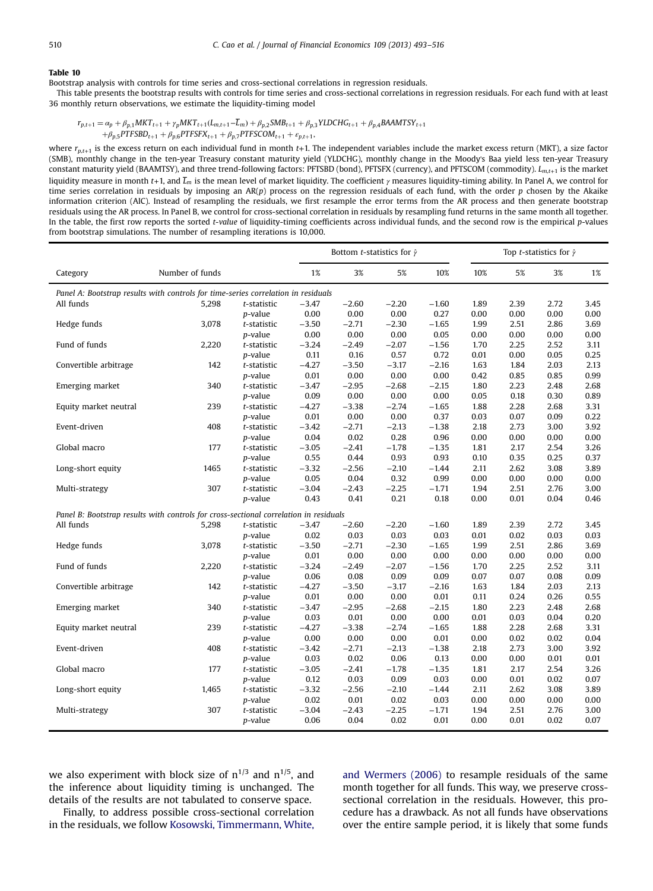<span id="page-17-0"></span>Bootstrap analysis with controls for time series and cross-sectional correlations in regression residuals.

This table presents the bootstrap results with controls for time series and cross-sectional correlations in regression residuals. For each fund with at least 36 monthly return observations, we estimate the liquidity-timing model

$$
r_{p,t+1} = \alpha_p + \beta_{p,1} MKT_{t+1} + \gamma_p MKT_{t+1}(L_{m,t+1} - \overline{L}_m) + \beta_{p,2} SMB_{t+1} + \beta_{p,3} YLDCHG_{t+1} + \beta_{p,4} BAAMTSY_{t+1} + \beta_{p,5} PTFSBD_{t+1} + \beta_{p,6} PTFSFL_{t+1} + \beta_{p,7} PTFSCOM_{t+1} + \varepsilon_{p,t+1},
$$

where  $r_{p,t+1}$  is the excess return on each individual fund in month  $t+1$ . The independent variables include the market excess return (MKT), a size factor (SMB), monthly change in the ten-year Treasury constant maturity yield (YLDCHG), monthly change in the Moody's Baa yield less ten-year Treasury constant maturity yield (BAAMTSY), and three trend-following factors: PFTSBD (bond), PFTSFX (currency), and PFTSCOM (commodity).  $L_{m,t+1}$  is the market liquidity measure in month t+1, and  $\overline{L}_m$  is the mean level of market liquidity. The coefficient  $\gamma$  measures liquidity-timing ability. In Panel A, we control for time series correlation in residuals by imposing an AR(p) process on the regression residuals of each fund, with the order p chosen by the Akaike information criterion (AIC). Instead of resampling the residuals, we first resample the error terms from the AR process and then generate bootstrap residuals using the AR process. In Panel B, we control for cross-sectional correlation in residuals by resampling fund returns in the same month all together. In the table, the first row reports the sorted t-value of liquidity-timing coefficients across individual funds, and the second row is the empirical p-values from bootstrap simulations. The number of resampling iterations is 10,000.

|                                                                                       |                 |                 |         |         | Bottom <i>t</i> -statistics for $\hat{\gamma}$ |         | Top <i>t</i> -statistics for $\hat{\gamma}$ |      |      |      |
|---------------------------------------------------------------------------------------|-----------------|-----------------|---------|---------|------------------------------------------------|---------|---------------------------------------------|------|------|------|
| Category                                                                              | Number of funds |                 | 1%      | 3%      | 5%                                             | 10%     | 10%                                         | 5%   | 3%   | 1%   |
| Panel A: Bootstrap results with controls for time-series correlation in residuals     |                 |                 |         |         |                                                |         |                                             |      |      |      |
| All funds                                                                             | 5,298           | t-statistic     | $-3.47$ | $-2.60$ | $-2.20$                                        | $-1.60$ | 1.89                                        | 2.39 | 2.72 | 3.45 |
|                                                                                       |                 | p-value         | 0.00    | 0.00    | 0.00                                           | 0.27    | 0.00                                        | 0.00 | 0.00 | 0.00 |
| Hedge funds                                                                           | 3,078           | t-statistic     | $-3.50$ | $-2.71$ | $-2.30$                                        | $-1.65$ | 1.99                                        | 2.51 | 2.86 | 3.69 |
|                                                                                       |                 | p-value         | 0.00    | 0.00    | 0.00                                           | 0.05    | 0.00                                        | 0.00 | 0.00 | 0.00 |
| Fund of funds                                                                         | 2,220           | t-statistic     | $-3.24$ | $-2.49$ | $-2.07$                                        | $-1.56$ | 1.70                                        | 2.25 | 2.52 | 3.11 |
|                                                                                       |                 | p-value         | 0.11    | 0.16    | 0.57                                           | 0.72    | 0.01                                        | 0.00 | 0.05 | 0.25 |
| Convertible arbitrage                                                                 | 142             | t-statistic     | $-4.27$ | $-3.50$ | $-3.17$                                        | $-2.16$ | 1.63                                        | 1.84 | 2.03 | 2.13 |
|                                                                                       |                 | p-value         | 0.01    | 0.00    | 0.00                                           | 0.00    | 0.42                                        | 0.85 | 0.85 | 0.99 |
| Emerging market                                                                       | 340             | t-statistic     | $-3.47$ | $-2.95$ | $-2.68$                                        | $-2.15$ | 1.80                                        | 2.23 | 2.48 | 2.68 |
|                                                                                       |                 | p-value         | 0.09    | 0.00    | 0.00                                           | 0.00    | 0.05                                        | 0.18 | 0.30 | 0.89 |
| Equity market neutral                                                                 | 239             | t-statistic     | $-4.27$ | $-3.38$ | $-2.74$                                        | $-1.65$ | 1.88                                        | 2.28 | 2.68 | 3.31 |
|                                                                                       |                 | p-value         | 0.01    | 0.00    | 0.00                                           | 0.37    | 0.03                                        | 0.07 | 0.09 | 0.22 |
| Event-driven                                                                          | 408             | t-statistic     | $-3.42$ | $-2.71$ | $-2.13$                                        | $-1.38$ | 2.18                                        | 2.73 | 3.00 | 3.92 |
|                                                                                       |                 | <i>p</i> -value | 0.04    | 0.02    | 0.28                                           | 0.96    | 0.00                                        | 0.00 | 0.00 | 0.00 |
| Global macro                                                                          | 177             | t-statistic     | $-3.05$ | $-2.41$ | $-1.78$                                        | $-1.35$ | 1.81                                        | 2.17 | 2.54 | 3.26 |
|                                                                                       |                 | p-value         | 0.55    | 0.44    | 0.93                                           | 0.93    | 0.10                                        | 0.35 | 0.25 | 0.37 |
| Long-short equity                                                                     | 1465            | t-statistic     | $-3.32$ | $-2.56$ | $-2.10$                                        | $-1.44$ | 2.11                                        | 2.62 | 3.08 | 3.89 |
|                                                                                       |                 | p-value         | 0.05    | 0.04    | 0.32                                           | 0.99    | 0.00                                        | 0.00 | 0.00 | 0.00 |
| Multi-strategy                                                                        | 307             | t-statistic     | $-3.04$ | $-2.43$ | $-2.25$                                        | $-1.71$ | 1.94                                        | 2.51 | 2.76 | 3.00 |
|                                                                                       |                 | p-value         | 0.43    | 0.41    | 0.21                                           | 0.18    | 0.00                                        | 0.01 | 0.04 | 0.46 |
| Panel B: Bootstrap results with controls for cross-sectional correlation in residuals |                 |                 |         |         |                                                |         |                                             |      |      |      |
| All funds                                                                             | 5,298           | t-statistic     | $-3.47$ | $-2.60$ | $-2.20$                                        | $-1.60$ | 1.89                                        | 2.39 | 2.72 | 3.45 |
|                                                                                       |                 | p-value         | 0.02    | 0.03    | 0.03                                           | 0.03    | 0.01                                        | 0.02 | 0.03 | 0.03 |
| Hedge funds                                                                           | 3,078           | t-statistic     | $-3.50$ | $-2.71$ | $-2.30$                                        | $-1.65$ | 1.99                                        | 2.51 | 2.86 | 3.69 |
|                                                                                       |                 | p-value         | 0.01    | 0.00    | 0.00                                           | 0.00    | 0.00                                        | 0.00 | 0.00 | 0.00 |
| Fund of funds                                                                         | 2,220           | t-statistic     | $-3.24$ | $-2.49$ | $-2.07$                                        | $-1.56$ | 1.70                                        | 2.25 | 2.52 | 3.11 |
|                                                                                       |                 | p-value         | 0.06    | 0.08    | 0.09                                           | 0.09    | 0.07                                        | 0.07 | 0.08 | 0.09 |
| Convertible arbitrage                                                                 | 142             | t-statistic     | $-4.27$ | $-3.50$ | $-3.17$                                        | $-2.16$ | 1.63                                        | 1.84 | 2.03 | 2.13 |
|                                                                                       |                 | p-value         | 0.01    | 0.00    | 0.00                                           | 0.01    | 0.11                                        | 0.24 | 0.26 | 0.55 |
| Emerging market                                                                       | 340             | t-statistic     | $-3.47$ | $-2.95$ | $-2.68$                                        | $-2.15$ | 1.80                                        | 2.23 | 2.48 | 2.68 |
|                                                                                       |                 | p-value         | 0.03    | 0.01    | 0.00                                           | 0.00    | 0.01                                        | 0.03 | 0.04 | 0.20 |
| Equity market neutral                                                                 | 239             | t-statistic     | $-4.27$ | $-3.38$ | $-2.74$                                        | $-1.65$ | 1.88                                        | 2.28 | 2.68 | 3.31 |
|                                                                                       |                 | p-value         | 0.00    | 0.00    | 0.00                                           | 0.01    | 0.00                                        | 0.02 | 0.02 | 0.04 |
| Event-driven                                                                          | 408             | t-statistic     | $-3.42$ | $-2.71$ | $-2.13$                                        | $-1.38$ | 2.18                                        | 2.73 | 3.00 | 3.92 |
|                                                                                       |                 | p-value         | 0.03    | 0.02    | 0.06                                           | 0.13    | 0.00                                        | 0.00 | 0.01 | 0.01 |
| Global macro                                                                          | 177             | t-statistic     | $-3.05$ | $-2.41$ | $-1.78$                                        | $-1.35$ | 1.81                                        | 2.17 | 2.54 | 3.26 |
|                                                                                       |                 | p-value         | 0.12    | 0.03    | 0.09                                           | 0.03    | 0.00                                        | 0.01 | 0.02 | 0.07 |
| Long-short equity                                                                     | 1,465           | t-statistic     | $-3.32$ | $-2.56$ | $-2.10$                                        | $-1.44$ | 2.11                                        | 2.62 | 3.08 | 3.89 |
|                                                                                       |                 | p-value         | 0.02    | 0.01    | 0.02                                           | 0.03    | 0.00                                        | 0.00 | 0.00 | 0.00 |
| Multi-strategy                                                                        | 307             | t-statistic     | $-3.04$ | $-2.43$ | $-2.25$                                        | $-1.71$ | 1.94                                        | 2.51 | 2.76 | 3.00 |
|                                                                                       |                 | p-value         | 0.06    | 0.04    | 0.02                                           | 0.01    | 0.00                                        | 0.01 | 0.02 | 0.07 |
|                                                                                       |                 |                 |         |         |                                                |         |                                             |      |      |      |

we also experiment with block size of  $n^{1/3}$  and  $n^{1/5}$ , and the inference about liquidity timing is unchanged. The details of the results are not tabulated to conserve space.

Finally, to address possible cross-sectional correlation in the residuals, we follow [Kosowski, Timmermann, White,](#page-23-0)

[and Wermers \(2006\)](#page-23-0) to resample residuals of the same month together for all funds. This way, we preserve crosssectional correlation in the residuals. However, this procedure has a drawback. As not all funds have observations over the entire sample period, it is likely that some funds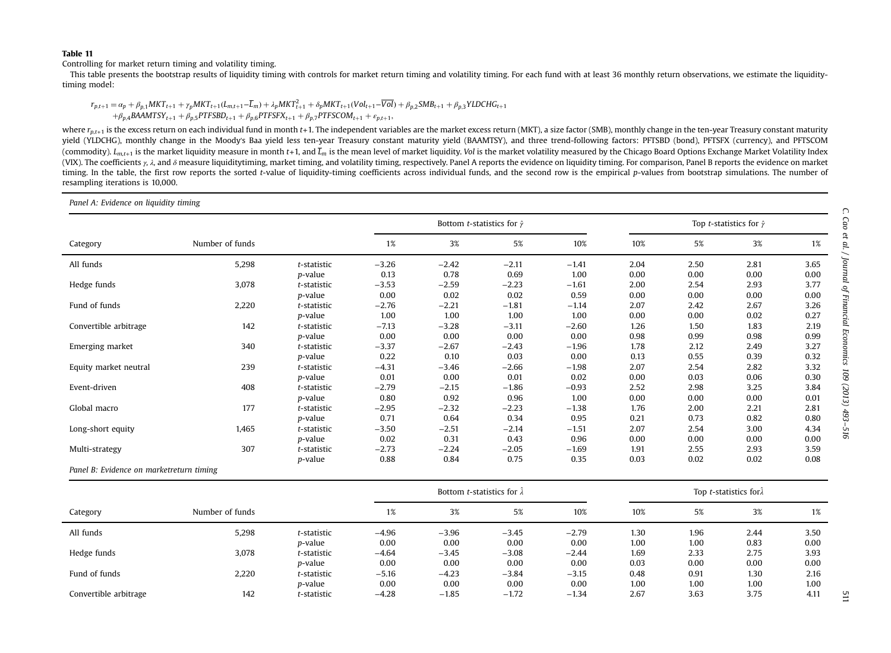<span id="page-18-0"></span>Controlling for market return timing and volatility timing.

This table presents the bootstrap results of liquidity timing with controls for market return timing and volatility timing. For each fund with at least 36 monthly return observations, we estimate the liquiditytiming model:

$$
r_{p,t+1} = \alpha_p + \beta_{p,1} MKT_{t+1} + \gamma_p MKT_{t+1}(L_{m,t+1} - \overline{L}_m) + \lambda_p MKT_{t+1}^2 + \delta_p MKT_{t+1}(Vol_{t+1} - \overline{Vol}) + \beta_{p,2} SMB_{t+1} + \beta_{p,3} YLDCHG_{t+1} + \beta_{p,4} BAMITSY_{t+1} + \beta_{p,5} PTFSDD_{t+1} + \beta_{p,6} PTFSEN_{t+1} + \beta_{p,7} PTFSCOM_{t+1} + \varepsilon_{p,t+1},
$$

where  $r_{p,t+1}$  is the excess return on each individual fund in month t+1. The independent variables are the market excess return (MKT), a size factor (SMB), monthly change in the ten-year Treasury constant maturity yield (YLDCHG), monthly change in the Moody'<sup>s</sup> Baa yield less ten-year Treasury constant maturity yield (BAAMTSY), and three trend-following factors: PFTSBD (bond), PFTSFX (currency), and PFTSCOM (commodity).  $L_{m,t+1}$  is the market liquidity measure in month t+1, and  $L_m$  is the mean level of market liquidity. Vol is the market volatility measured by the Chicago Board Options Exchange Market Volatility Index (VIX). The coefficients γ, λ, and δ measure liquiditytiming, market timing, and volatility timing, respectively. Panel A reports the evidence on liquidity timing. For comparison, Panel B reports the evidence on market timing. In the table, the first row reports the sorted t-value of liquidity-timing coefficients across individual funds, and the second row is the empirical p-values from bootstrap simulations. The number of resampling iterations is 10,000.

Panel A: Evidence on liquidity timing

|                                          |                 |             |         |         | Bottom <i>t</i> -statistics for $\hat{\gamma}$ |         | Top <i>t</i> -statistics for $\hat{\gamma}$ |      |      |      |  |
|------------------------------------------|-----------------|-------------|---------|---------|------------------------------------------------|---------|---------------------------------------------|------|------|------|--|
| Category                                 | Number of funds |             | 1%      | 3%      | 5%                                             | 10%     | 10%                                         | 5%   | 3%   | 1%   |  |
| All funds                                | 5,298           | t-statistic | $-3.26$ | $-2.42$ | $-2.11$                                        | $-1.41$ | 2.04                                        | 2.50 | 2.81 | 3.65 |  |
|                                          |                 | p-value     | 0.13    | 0.78    | 0.69                                           | 1.00    | 0.00                                        | 0.00 | 0.00 | 0.00 |  |
| Hedge funds                              | 3,078           | t-statistic | $-3.53$ | $-2.59$ | $-2.23$                                        | $-1.61$ | 2.00                                        | 2.54 | 2.93 | 3.77 |  |
|                                          |                 | p-value     | 0.00    | 0.02    | 0.02                                           | 0.59    | 0.00                                        | 0.00 | 0.00 | 0.00 |  |
| Fund of funds                            | 2,220           | t-statistic | $-2.76$ | $-2.21$ | $-1.81$                                        | $-1.14$ | 2.07                                        | 2.42 | 2.67 | 3.26 |  |
|                                          |                 | p-value     | 1.00    | 1.00    | 1.00                                           | 1.00    | 0.00                                        | 0.00 | 0.02 | 0.27 |  |
| Convertible arbitrage                    | 142             | t-statistic | $-7.13$ | $-3.28$ | $-3.11$                                        | $-2.60$ | 1.26                                        | 1.50 | 1.83 | 2.19 |  |
|                                          |                 | $p$ -value  | 0.00    | 0.00    | 0.00                                           | 0.00    | 0.98                                        | 0.99 | 0.98 | 0.99 |  |
| Emerging market                          | 340             | t-statistic | $-3.37$ | $-2.67$ | $-2.43$                                        | $-1.96$ | 1.78                                        | 2.12 | 2.49 | 3.27 |  |
|                                          |                 | $p$ -value  | 0.22    | 0.10    | 0.03                                           | 0.00    | 0.13                                        | 0.55 | 0.39 | 0.32 |  |
| Equity market neutral                    | 239             | t-statistic | $-4.31$ | $-3.46$ | $-2.66$                                        | $-1.98$ | 2.07                                        | 2.54 | 2.82 | 3.32 |  |
|                                          |                 | $p$ -value  | 0.01    | 0.00    | 0.01                                           | 0.02    | 0.00                                        | 0.03 | 0.06 | 0.30 |  |
| Event-driven                             | 408             | t-statistic | $-2.79$ | $-2.15$ | $-1.86$                                        | $-0.93$ | 2.52                                        | 2.98 | 3.25 | 3.84 |  |
|                                          |                 | $p$ -value  | 0.80    | 0.92    | 0.96                                           | 1.00    | 0.00                                        | 0.00 | 0.00 | 0.01 |  |
| Global macro                             | 177             | t-statistic | $-2.95$ | $-2.32$ | $-2.23$                                        | $-1.38$ | 1.76                                        | 2.00 | 2.21 | 2.81 |  |
|                                          |                 | p-value     | 0.71    | 0.64    | 0.34                                           | 0.95    | 0.21                                        | 0.73 | 0.82 | 0.80 |  |
| Long-short equity                        | 1,465           | t-statistic | $-3.50$ | $-2.51$ | $-2.14$                                        | $-1.51$ | 2.07                                        | 2.54 | 3.00 | 4.34 |  |
|                                          |                 | p-value     | 0.02    | 0.31    | 0.43                                           | 0.96    | 0.00                                        | 0.00 | 0.00 | 0.00 |  |
| Multi-strategy                           | 307             | t-statistic | $-2.73$ | $-2.24$ | $-2.05$                                        | $-1.69$ | 1.91                                        | 2.55 | 2.93 | 3.59 |  |
|                                          |                 | p-value     | 0.88    | 0.84    | 0.75                                           | 0.35    | 0.03                                        | 0.02 | 0.02 | 0.08 |  |
| Panel B: Evidence on marketreturn timing |                 |             |         |         |                                                |         |                                             |      |      |      |  |

|                       |                 |                                |                 |                 | Bottom <i>t</i> -statistics for $\lambda$ |                 |              |              | Top <i>t</i> -statistics for $\lambda$ |              |
|-----------------------|-----------------|--------------------------------|-----------------|-----------------|-------------------------------------------|-----------------|--------------|--------------|----------------------------------------|--------------|
| Category              | Number of funds |                                | 1%              | 3%              | 5%                                        | 10%             | 10%          | 5%           | 3%                                     | 1%           |
| All funds             | 5,298           | t-statistic                    | $-4.96$<br>0.00 | $-3.96$<br>0.00 | $-3.45$<br>0.00                           | $-2.79$<br>0.00 | 1.30<br>1.00 | 1.96<br>1.00 | 2.44<br>0.83                           | 3.50         |
| Hedge funds           | 3,078           | p-value<br>t-statistic         | $-4.64$         | $-3.45$         | $-3.08$                                   | $-2.44$         | 1.69         | 2.33         | 2.75                                   | 0.00<br>3.93 |
| Fund of funds         | 2,220           | <i>p</i> -value<br>t-statistic | 0.00<br>$-5.16$ | 0.00<br>$-4.23$ | 0.00<br>$-3.84$                           | 0.00<br>$-3.15$ | 0.03<br>0.48 | 0.00<br>0.91 | 0.00<br>1.30                           | 0.00<br>2.16 |
|                       |                 | <i>p</i> -value                | 0.00            | 0.00            | 0.00                                      | 0.00            | 1.00         | 1.00         | 1.00                                   | 1.00         |
| Convertible arbitrage | 142             | t-statistic                    | $-4.28$         | $-1.85$         | $-1.72$                                   | $-1.34$         | 2.67         | 3.63         | 3.75                                   | 4.11         |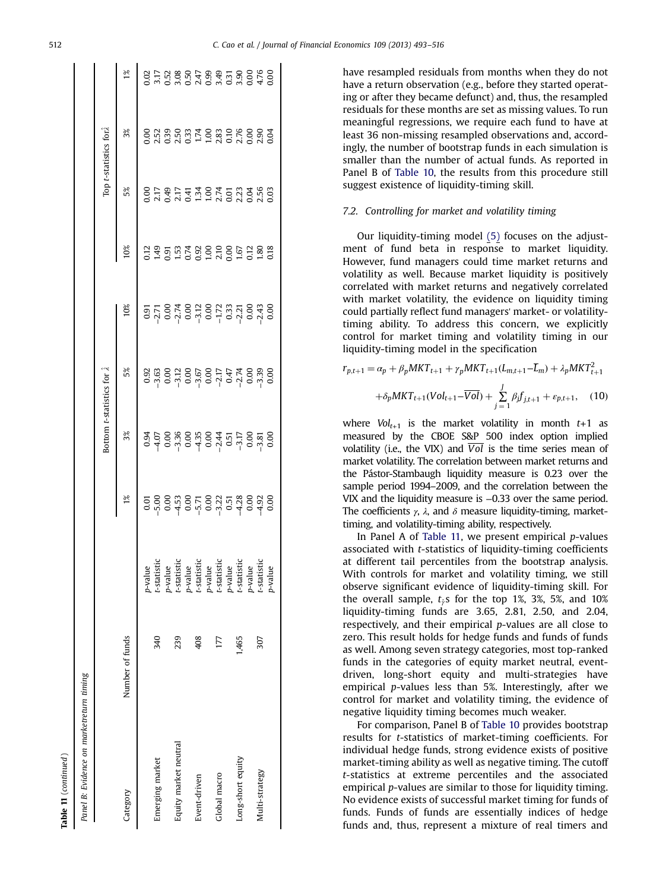<span id="page-19-0"></span>

|                       |                 |                      |                                                                                                                                                                                                                                                                                             | Bottom t-statistics for $\lambda$                                     |    |     |        |    | Top t-statistics for $\lambda$ |                                                                                                                                                                                                                                                                            |
|-----------------------|-----------------|----------------------|---------------------------------------------------------------------------------------------------------------------------------------------------------------------------------------------------------------------------------------------------------------------------------------------|-----------------------------------------------------------------------|----|-----|--------|----|--------------------------------|----------------------------------------------------------------------------------------------------------------------------------------------------------------------------------------------------------------------------------------------------------------------------|
| Category              | Number of funds |                      | $1\%$                                                                                                                                                                                                                                                                                       | $3\%$                                                                 | 5% | 10% | $10\%$ | 5% | $3\%$                          | $\frac{8}{3}$                                                                                                                                                                                                                                                              |
|                       |                 | value                | 0.01                                                                                                                                                                                                                                                                                        |                                                                       |    |     |        |    |                                |                                                                                                                                                                                                                                                                            |
| Emerging market       | 340             | statistic            |                                                                                                                                                                                                                                                                                             |                                                                       |    |     |        |    |                                |                                                                                                                                                                                                                                                                            |
|                       |                 | value                | $\begin{array}{l} 80.6 & 10.6 \\ 10.6 & 10.6 \\ 10.6 & 10.6 \\ 10.6 & 10.6 \\ 10.6 & 10.6 \\ 10.6 & 10.6 \\ 10.6 & 10.6 \\ 10.6 & 10.6 \\ 10.6 & 10.6 \\ 10.6 & 10.6 \\ 10.6 & 10.6 \\ 10.6 & 10.6 \\ 10.6 & 10.6 \\ 10.6 & 10.6 \\ 10.6 & 10.6 \\ 10.6 & 10.6 \\ 10.6 & 10.6 \\ 10.6 & 10$ | 9<br>9 9 9 9 9 9 9 9 9 9 9 9 9 9 9<br>9 9 9 9 9 9 9 9 9 9 9 9 9 9 9 9 |    |     |        |    |                                | $\begin{array}{l} 0.75 & 0.80 & 0.70 & 0.80 & 0.70 & 0.70 & 0.70 & 0.70 & 0.70 & 0.70 & 0.70 & 0.70 & 0.70 & 0.70 & 0.70 & 0.70 & 0.70 & 0.70 & 0.70 & 0.70 & 0.70 & 0.70 & 0.70 & 0.70 & 0.70 & 0.70 & 0.70 & 0.70 & 0.70 & 0.70 & 0.70 & 0.70 & 0.70 & 0.70 & 0.70 & 0.$ |
| Equity market neutral | 239             | statistic            |                                                                                                                                                                                                                                                                                             |                                                                       |    |     |        |    |                                |                                                                                                                                                                                                                                                                            |
|                       |                 | value                |                                                                                                                                                                                                                                                                                             |                                                                       |    |     |        |    |                                |                                                                                                                                                                                                                                                                            |
| Event-driven          | 408             | statistic            |                                                                                                                                                                                                                                                                                             |                                                                       |    |     |        |    |                                |                                                                                                                                                                                                                                                                            |
|                       |                 | value                |                                                                                                                                                                                                                                                                                             |                                                                       |    |     |        |    |                                |                                                                                                                                                                                                                                                                            |
| Global macro          | 177             | $r\text{-}statistic$ |                                                                                                                                                                                                                                                                                             |                                                                       |    |     |        |    |                                |                                                                                                                                                                                                                                                                            |
|                       |                 | value                |                                                                                                                                                                                                                                                                                             |                                                                       |    |     |        |    |                                |                                                                                                                                                                                                                                                                            |
| Long-short equity     | 1,465           | statistic            |                                                                                                                                                                                                                                                                                             |                                                                       |    |     |        |    |                                |                                                                                                                                                                                                                                                                            |
|                       |                 | -value               |                                                                                                                                                                                                                                                                                             |                                                                       |    |     |        |    |                                |                                                                                                                                                                                                                                                                            |
| Multi-strategy        | 307             | statistic            |                                                                                                                                                                                                                                                                                             |                                                                       |    |     |        |    |                                |                                                                                                                                                                                                                                                                            |
|                       |                 | value                |                                                                                                                                                                                                                                                                                             |                                                                       |    |     |        |    |                                |                                                                                                                                                                                                                                                                            |

have resampled residuals from months when they do not have a return observation (e.g., before they started operating or after they became defunct) and, thus, the resampled residuals for these months are set as missing values. To run meaningful regressions, we require each fund to have at least 36 non-missing resampled observations and, accordingly, the number of bootstrap funds in each simulation is smaller than the number of actual funds. As reported in Panel B of [Table 10,](#page-17-0) the results from this procedure still suggest existence of liquidity-timing skill.

## 7.2. Controlling for market and volatility timing

Our liquidity-timing model (5) focuses on the adjustment of fund beta in response to market liquidity. However, fund managers could time market returns and volatility as well. Because market liquidity is positively correlated with market returns and negatively correlated with market volatility, the evidence on liquidity timing could partially reflect fund managers' market- or volatilitytiming ability. To address this concern, we explicitly control for market timing and volatility timing in our liquidity-timing model in the specification

$$
r_{p,t+1} = \alpha_p + \beta_p MKT_{t+1} + \gamma_p MKT_{t+1}(L_{m,t+1} - \bar{L}_m) + \lambda_p MKT_{t+1}^2
$$

$$
+ \delta_p MKT_{t+1}(Vol_{t+1} - \bar{Vol}) + \sum_{j=1}^{J} \beta_j f_{j,t+1} + \varepsilon_{p,t+1}, \quad (10)
$$

where  $Vol_{t+1}$  is the market volatility in month  $t+1$  as measured by the CBOE S&P 500 index option implied volatility (i.e., the VIX) and  $\overline{Vol}$  is the time series mean of market volatility. The correlation between market returns and the Pástor-Stambaugh liquidity measure is 0.23 over the sample period 1994–2009, and the correlation between the VIX and the liquidity measure is −0.33 over the same period. The coefficients  $\gamma$ ,  $\lambda$ , and  $\delta$  measure liquidity-timing, markettiming, and volatility-timing ability, respectively.

In Panel A of [Table 11](#page-18-0), we present empirical p-values associated with t-statistics of liquidity-timing coefficients at different tail percentiles from the bootstrap analysis. With controls for market and volatility timing, we still observe significant evidence of liquidity-timing skill. For the overall sample,  $t<sub>γ</sub>$ s for the top 1%, 3%, 5%, and 10% liquidity-timing funds are 3.65, 2.81, 2.50, and 2.04, respectively, and their empirical p-values are all close to zero. This result holds for hedge funds and funds of funds as well. Among seven strategy categories, most top-ranked funds in the categories of equity market neutral, eventdriven, long-short equity and multi-strategies have empirical p-values less than 5%. Interestingly, after we control for market and volatility timing, the evidence of negative liquidity timing becomes much weaker.

For comparison, Panel B of [Table 10](#page-17-0) provides bootstrap results for t-statistics of market-timing coefficients. For individual hedge funds, strong evidence exists of positive market-timing ability as well as negative timing. The cutoff t-statistics at extreme percentiles and the associated empirical p-values are similar to those for liquidity timing. No evidence exists of successful market timing for funds of funds. Funds of funds are essentially indices of hedge funds and, thus, represent a mixture of real timers and

Panel B: Evidence on marketreturn timing [able 11 (continued) (continued )

Panel B: Evidence on marketreturn timing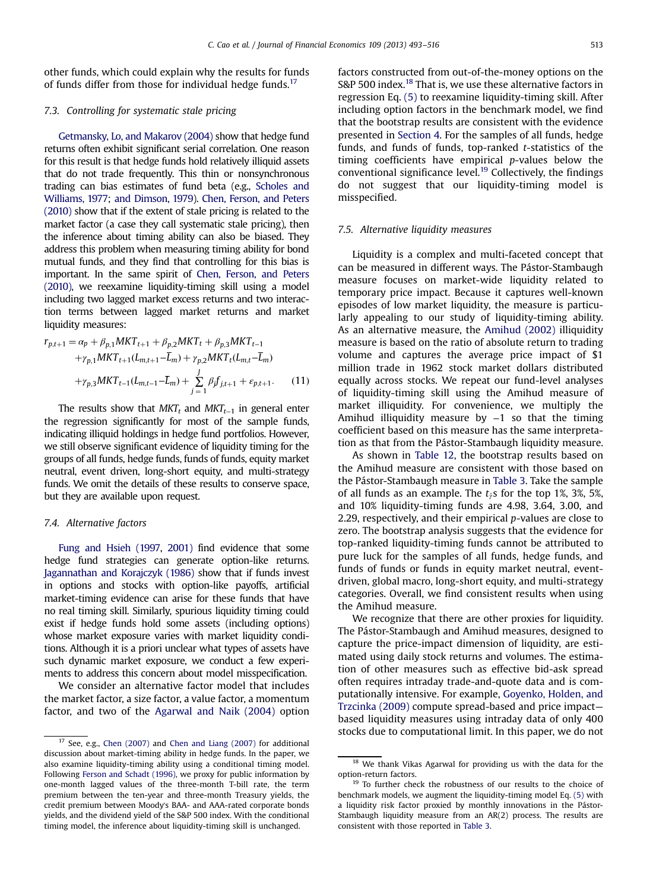other funds, which could explain why the results for funds of funds differ from those for individual hedge funds.<sup>17</sup>

## 7.3. Controlling for systematic stale pricing

[Getmansky, Lo, and Makarov \(2004\)](#page-23-0) show that hedge fund returns often exhibit significant serial correlation. One reason for this result is that hedge funds hold relatively illiquid assets that do not trade frequently. This thin or nonsynchronous trading can bias estimates of fund beta (e.g., [Scholes and](#page-23-0) [Williams, 1977;](#page-23-0) [and Dimson, 1979](#page-22-0)). [Chen, Ferson, and Peters](#page-22-0) [\(2010\)](#page-22-0) show that if the extent of stale pricing is related to the market factor (a case they call systematic stale pricing), then the inference about timing ability can also be biased. They address this problem when measuring timing ability for bond mutual funds, and they find that controlling for this bias is important. In the same spirit of [Chen, Ferson, and Peters](#page-22-0) [\(2010\),](#page-22-0) we reexamine liquidity-timing skill using a model including two lagged market excess returns and two interaction terms between lagged market returns and market liquidity measures:

$$
r_{p,t+1} = \alpha_p + \beta_{p,1} MKT_{t+1} + \beta_{p,2} MKT_t + \beta_{p,3} MKT_{t-1} + \gamma_{p,1} MKT_{t+1}(L_{m,t+1} - \bar{L}_m) + \gamma_{p,2} MKT_t(L_{m,t} - \bar{L}_m) + \gamma_{p,3} MKT_{t-1}(L_{m,t-1} - \bar{L}_m) + \sum_{j=1}^{J} \beta_j f_{j,t+1} + \epsilon_{p,t+1}.
$$
 (11)

The results show that  $MKT_t$  and  $MKT_{t-1}$  in general enter the regression significantly for most of the sample funds, indicating illiquid holdings in hedge fund portfolios. However, we still observe significant evidence of liquidity timing for the groups of all funds, hedge funds, funds of funds, equity market neutral, event driven, long-short equity, and multi-strategy funds. We omit the details of these results to conserve space, but they are available upon request.

#### 7.4. Alternative factors

[Fung and Hsieh \(1997,](#page-22-0) [2001\)](#page-23-0) find evidence that some hedge fund strategies can generate option-like returns. [Jagannathan and Korajczyk \(1986\)](#page-23-0) show that if funds invest in options and stocks with option-like payoffs, artificial market-timing evidence can arise for these funds that have no real timing skill. Similarly, spurious liquidity timing could exist if hedge funds hold some assets (including options) whose market exposure varies with market liquidity conditions. Although it is a priori unclear what types of assets have such dynamic market exposure, we conduct a few experiments to address this concern about model misspecification.

We consider an alternative factor model that includes the market factor, a size factor, a value factor, a momentum factor, and two of the [Agarwal and Naik \(2004\)](#page-22-0) option factors constructed from out-of-the-money options on the S&P 500 index.<sup>18</sup> That is, we use these alternative factors in regression Eq. (5) to reexamine liquidity-timing skill. After including option factors in the benchmark model, we find that the bootstrap results are consistent with the evidence presented in [Section 4.](#page-4-0) For the samples of all funds, hedge funds, and funds of funds, top-ranked t-statistics of the timing coefficients have empirical p-values below the conventional significance level.<sup>19</sup> Collectively, the findings do not suggest that our liquidity-timing model is misspecified.

## 7.5. Alternative liquidity measures

Liquidity is a complex and multi-faceted concept that can be measured in different ways. The Pástor-Stambaugh measure focuses on market-wide liquidity related to temporary price impact. Because it captures well-known episodes of low market liquidity, the measure is particularly appealing to our study of liquidity-timing ability. As an alternative measure, the [Amihud \(2002\)](#page-22-0) illiquidity measure is based on the ratio of absolute return to trading volume and captures the average price impact of \$1 million trade in 1962 stock market dollars distributed equally across stocks. We repeat our fund-level analyses of liquidity-timing skill using the Amihud measure of market illiquidity. For convenience, we multiply the Amihud illiquidity measure by −1 so that the timing coefficient based on this measure has the same interpretation as that from the Pástor-Stambaugh liquidity measure.

As shown in [Table 12,](#page-21-0) the bootstrap results based on the Amihud measure are consistent with those based on the Pástor-Stambaugh measure in [Table 3](#page-7-0). Take the sample of all funds as an example. The  $t<sub>i</sub>$ s for the top 1%, 3%, 5%, and 10% liquidity-timing funds are 4.98, 3.64, 3.00, and 2.29, respectively, and their empirical p-values are close to zero. The bootstrap analysis suggests that the evidence for top-ranked liquidity-timing funds cannot be attributed to pure luck for the samples of all funds, hedge funds, and funds of funds or funds in equity market neutral, eventdriven, global macro, long-short equity, and multi-strategy categories. Overall, we find consistent results when using the Amihud measure.

We recognize that there are other proxies for liquidity. The Pástor-Stambaugh and Amihud measures, designed to capture the price-impact dimension of liquidity, are estimated using daily stock returns and volumes. The estimation of other measures such as effective bid-ask spread often requires intraday trade-and-quote data and is computationally intensive. For example, [Goyenko, Holden, and](#page-23-0) [Trzcinka \(2009\)](#page-23-0) compute spread-based and price impact based liquidity measures using intraday data of only 400 stocks due to computational limit. In this paper, we do not

See, e.g., [Chen \(2007\)](#page-22-0) and [Chen and Liang \(2007\)](#page-22-0) for additional discussion about market-timing ability in hedge funds. In the paper, we also examine liquidity-timing ability using a conditional timing model. Following [Ferson and Schadt \(1996\)](#page-22-0), we proxy for public information by one-month lagged values of the three-month T-bill rate, the term premium between the ten-year and three-month Treasury yields, the credit premium between Moody's BAA- and AAA-rated corporate bonds yields, and the dividend yield of the S&P 500 index. With the conditional timing model, the inference about liquidity-timing skill is unchanged.

<sup>&</sup>lt;sup>18</sup> We thank Vikas Agarwal for providing us with the data for the option-return factors.

<sup>&</sup>lt;sup>19</sup> To further check the robustness of our results to the choice of benchmark models, we augment the liquidity-timing model Eq. (5) with a liquidity risk factor proxied by monthly innovations in the Pástor-Stambaugh liquidity measure from an AR(2) process. The results are consistent with those reported in [Table 3](#page-7-0).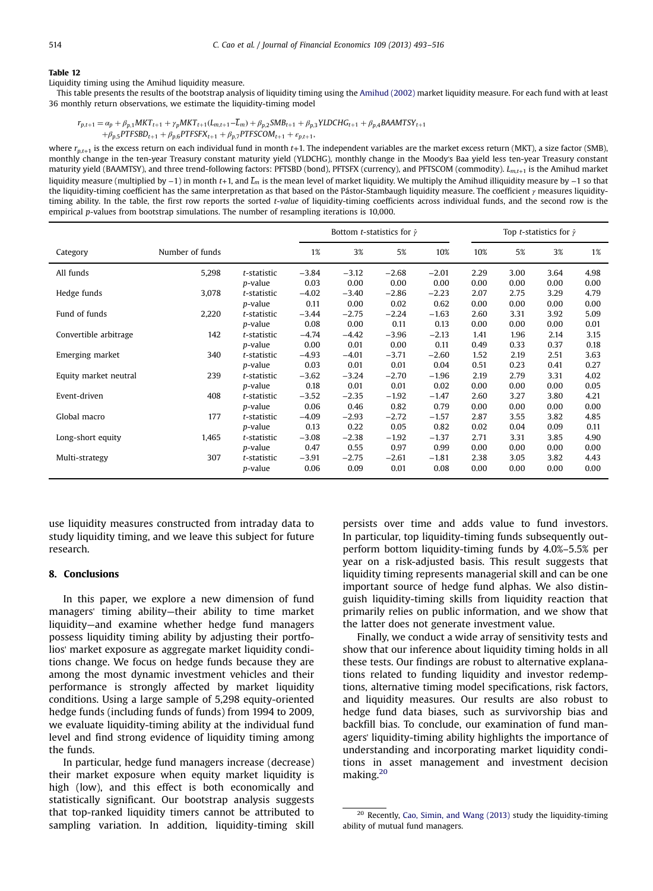<span id="page-21-0"></span>Liquidity timing using the Amihud liquidity measure.

This table presents the results of the bootstrap analysis of liquidity timing using the [Amihud \(2002\)](#page-22-0) market liquidity measure. For each fund with at least 36 monthly return observations, we estimate the liquidity-timing model

$$
r_{p,t+1} = \alpha_p + \beta_{p,1} MKr_{t+1} + \gamma_p MKr_{t+1}(L_{m,t+1} - \overline{L}_m) + \beta_{p,2} SMB_{t+1} + \beta_{p,3} YLDCHG_{t+1} + \beta_{p,4} BAAMTSY_{t+1} + \beta_{p,5} PTFSBD_{t+1} + \beta_{p,6} PTFSFL_{t+1} + \beta_{p,7} PTFSCOM_{t+1} + \varepsilon_{p,t+1},
$$

where  $r_{p,t+1}$  is the excess return on each individual fund in month  $t+1$ . The independent variables are the market excess return (MKT), a size factor (SMB), monthly change in the ten-year Treasury constant maturity yield (YLDCHG), monthly change in the Moody's Baa yield less ten-year Treasury constant maturity yield (BAAMTSY), and three trend-following factors: PFTSBD (bond), PFTSFX (currency), and PFTSCOM (commodity).  $L_{m,t+1}$  is the Amihud market liquidity measure (multiplied by −1) in month t+1, and  $\overline{L}_m$  is the mean level of market liquidity. We multiply the Amihud illiquidity measure by −1 so that the liquidity-timing coefficient has the same interpretation as that based on the Pástor-Stambaugh liquidity measure. The coefficient  $\gamma$  measures liquiditytiming ability. In the table, the first row reports the sorted t-value of liquidity-timing coefficients across individual funds, and the second row is the empirical p-values from bootstrap simulations. The number of resampling iterations is 10,000.

|                       |                 |                        | Bottom <i>t</i> -statistics for $\hat{\gamma}$ |                 |                 |                 | Top <i>t</i> -statistics for $\hat{\gamma}$ |              |              |              |
|-----------------------|-----------------|------------------------|------------------------------------------------|-----------------|-----------------|-----------------|---------------------------------------------|--------------|--------------|--------------|
| Category              | Number of funds |                        | 1%                                             | 3%              | 5%              | 10%             | 10%                                         | 5%           | 3%           | 1%           |
| All funds             | 5,298           | t-statistic<br>p-value | $-3.84$<br>0.03                                | $-3.12$<br>0.00 | $-2.68$<br>0.00 | $-2.01$<br>0.00 | 2.29<br>0.00                                | 3.00<br>0.00 | 3.64<br>0.00 | 4.98<br>0.00 |
| Hedge funds           | 3,078           | t-statistic<br>p-value | $-4.02$<br>0.11                                | $-3.40$<br>0.00 | $-2.86$<br>0.02 | $-2.23$<br>0.62 | 2.07<br>0.00                                | 2.75<br>0.00 | 3.29<br>0.00 | 4.79<br>0.00 |
| Fund of funds         | 2,220           | t-statistic<br>p-value | $-3.44$<br>0.08                                | $-2.75$<br>0.00 | $-2.24$<br>0.11 | $-1.63$<br>0.13 | 2.60<br>0.00                                | 3.31<br>0.00 | 3.92<br>0.00 | 5.09<br>0.01 |
| Convertible arbitrage | 142             | t-statistic<br>p-value | $-4.74$<br>0.00                                | $-4.42$<br>0.01 | $-3.96$<br>0.00 | $-2.13$<br>0.11 | 1.41<br>0.49                                | 1.96<br>0.33 | 2.14<br>0.37 | 3.15<br>0.18 |
| Emerging market       | 340             | t-statistic<br>p-value | $-4.93$<br>0.03                                | $-4.01$<br>0.01 | $-3.71$<br>0.01 | $-2.60$<br>0.04 | 1.52<br>0.51                                | 2.19<br>0.23 | 2.51<br>0.41 | 3.63<br>0.27 |
| Equity market neutral | 239             | t-statistic<br>p-value | $-3.62$<br>0.18                                | $-3.24$<br>0.01 | $-2.70$<br>0.01 | $-1.96$<br>0.02 | 2.19<br>0.00                                | 2.79<br>0.00 | 3.31<br>0.00 | 4.02<br>0.05 |
| Event-driven          | 408             | t-statistic<br>p-value | $-3.52$<br>0.06                                | $-2.35$<br>0.46 | $-1.92$<br>0.82 | $-1.47$<br>0.79 | 2.60<br>0.00                                | 3.27<br>0.00 | 3.80<br>0.00 | 4.21<br>0.00 |
| Global macro          | 177             | t-statistic<br>p-value | $-4.09$<br>0.13                                | $-2.93$<br>0.22 | $-2.72$<br>0.05 | $-1.57$<br>0.82 | 2.87<br>0.02                                | 3.55<br>0.04 | 3.82<br>0.09 | 4.85<br>0.11 |
| Long-short equity     | 1,465           | t-statistic<br>p-value | $-3.08$<br>0.47                                | $-2.38$<br>0.55 | $-1.92$<br>0.97 | $-1.37$<br>0.99 | 2.71<br>0.00                                | 3.31<br>0.00 | 3.85<br>0.00 | 4.90<br>0.00 |
| Multi-strategy        | 307             | t-statistic<br>p-value | $-3.91$<br>0.06                                | $-2.75$<br>0.09 | $-2.61$<br>0.01 | $-1.81$<br>0.08 | 2.38<br>0.00                                | 3.05<br>0.00 | 3.82<br>0.00 | 4.43<br>0.00 |

use liquidity measures constructed from intraday data to study liquidity timing, and we leave this subject for future research.

## 8. Conclusions

In this paper, we explore a new dimension of fund managers' timing ability—their ability to time market liquidity—and examine whether hedge fund managers possess liquidity timing ability by adjusting their portfolios' market exposure as aggregate market liquidity conditions change. We focus on hedge funds because they are among the most dynamic investment vehicles and their performance is strongly affected by market liquidity conditions. Using a large sample of 5,298 equity-oriented hedge funds (including funds of funds) from 1994 to 2009, we evaluate liquidity-timing ability at the individual fund level and find strong evidence of liquidity timing among the funds.

In particular, hedge fund managers increase (decrease) their market exposure when equity market liquidity is high (low), and this effect is both economically and statistically significant. Our bootstrap analysis suggests that top-ranked liquidity timers cannot be attributed to sampling variation. In addition, liquidity-timing skill

persists over time and adds value to fund investors. In particular, top liquidity-timing funds subsequently outperform bottom liquidity-timing funds by 4.0%–5.5% per year on a risk-adjusted basis. This result suggests that liquidity timing represents managerial skill and can be one important source of hedge fund alphas. We also distinguish liquidity-timing skills from liquidity reaction that primarily relies on public information, and we show that the latter does not generate investment value.

Finally, we conduct a wide array of sensitivity tests and show that our inference about liquidity timing holds in all these tests. Our findings are robust to alternative explanations related to funding liquidity and investor redemptions, alternative timing model specifications, risk factors, and liquidity measures. Our results are also robust to hedge fund data biases, such as survivorship bias and backfill bias. To conclude, our examination of fund managers' liquidity-timing ability highlights the importance of understanding and incorporating market liquidity conditions in asset management and investment decision making.<sup>20</sup>

<sup>20</sup> Recently, [Cao, Simin, and Wang \(2013\)](#page-22-0) study the liquidity-timing ability of mutual fund managers.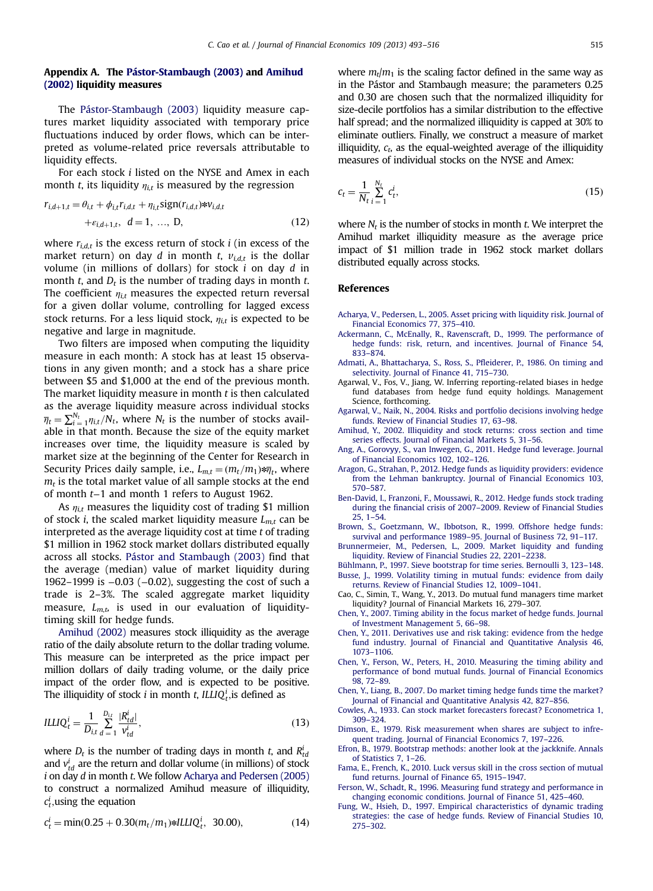## <span id="page-22-0"></span>Appendix A. The [Pástor-Stambaugh \(2003\)](#page-23-0) and Amihud (2002) liquidity measures

The [Pástor-Stambaugh \(2003\)](#page-23-0) liquidity measure captures market liquidity associated with temporary price fluctuations induced by order flows, which can be interpreted as volume-related price reversals attributable to liquidity effects.

For each stock i listed on the NYSE and Amex in each month t, its liquidity  $\eta_{i,t}$  is measured by the regression

$$
r_{i,d+1,t} = \theta_{i,t} + \phi_{i,t} r_{i,d,t} + \eta_{i,t} sign(r_{i,d,t}) * v_{i,d,t}
$$
  
+  $\epsilon_{i,d+1,t}, d = 1, ..., D,$  (12)

where  $r_{i,d,t}$  is the excess return of stock *i* (in excess of the market return) on day d in month t,  $v_{i,d,t}$  is the dollar volume (in millions of dollars) for stock  $i$  on day  $d$  in month t, and  $D_t$  is the number of trading days in month t. The coefficient  $\eta_{it}$  measures the expected return reversal for a given dollar volume, controlling for lagged excess stock returns. For a less liquid stock,  $\eta_{i,t}$  is expected to be negative and large in magnitude.

Two filters are imposed when computing the liquidity measure in each month: A stock has at least 15 observations in any given month; and a stock has a share price between \$5 and \$1,000 at the end of the previous month. The market liquidity measure in month  $t$  is then calculated as the average liquidity measure across individual stocks  $\overline{\eta}_t = \sum_{i=1}^{N_t} \eta_{i,t}/N_t$ , where  $N_t$  is the number of stocks available in that month. Because the size of the equity market increases over time, the liquidity measure is scaled by market size at the beginning of the Center for Research in Security Prices daily sample, i.e.,  $L_{m,t} = (m_t/m_1) \ast \overline{\eta}_t$ , where  $m_t$  is the total market value of all sample stocks at the end of month t−1 and month 1 refers to August 1962.

As  $\eta_{it}$  measures the liquidity cost of trading \$1 million of stock *i*, the scaled market liquidity measure  $L_{m,t}$  can be interpreted as the average liquidity cost at time  $t$  of trading \$1 million in 1962 stock market dollars distributed equally across all stocks. [Pástor and Stambaugh \(2003\)](#page-23-0) find that the average (median) value of market liquidity during 1962–1999 is −0.03 (−0.02), suggesting the cost of such a trade is 2–3%. The scaled aggregate market liquidity measure,  $L_{m,t}$ , is used in our evaluation of liquiditytiming skill for hedge funds.

Amihud (2002) measures stock illiquidity as the average ratio of the daily absolute return to the dollar trading volume. This measure can be interpreted as the price impact per million dollars of daily trading volume, or the daily price impact of the order flow, and is expected to be positive. The illiquidity of stock  $i$  in month  $t$ , ILLIQ $_{t}^{i}$ , is defined as

$$
ILLIQ_t^i = \frac{1}{D_{i,t}} \sum_{d=1}^{D_{i,t}} \frac{|R_{td}^i|}{v_{td}^i},
$$
\n(13)

where  $D_t$  is the number of trading days in month t, and  $R_{td}$ and  $v_{td}^i$  are the return and dollar volume (in millions) of stock i on day *d* in month *t*. We follow Acharya and Pedersen (2005) to construct a normalized Amihud measure of illiquidity,  $c_t^i$ , using the equation

$$
c_t^i = \min(0.25 + 0.30(m_t/m_1) * ILLIQ_t^i, 30.00), \tag{14}
$$

where  $m_t/m_1$  is the scaling factor defined in the same way as in the Pástor and Stambaugh measure; the parameters 0.25 and 0.30 are chosen such that the normalized illiquidity for size-decile portfolios has a similar distribution to the effective half spread; and the normalized illiquidity is capped at 30% to eliminate outliers. Finally, we construct a measure of market illiquidity,  $c_t$ , as the equal-weighted average of the illiquidity measures of individual stocks on the NYSE and Amex:

$$
c_t = \frac{1}{N_t} \sum_{i=1}^{N_t} c_t^i,
$$
\n(15)

where  $N_t$  is the number of stocks in month t. We interpret the Amihud market illiquidity measure as the average price impact of \$1 million trade in 1962 stock market dollars distributed equally across stocks.

#### References

- Acharya, V., Pedersen, L., 2005. Asset pricing with liquidity risk. Journal of Financial Economics 77, 375–410.
- Ackermann, C., McEnally, R., Ravenscraft, D., 1999. The performance of hedge funds: risk, return, and incentives. Journal of Finance 54, 833–874.
- Admati, A., Bhattacharya, S., Ross, S., Pfleiderer, P., 1986. On timing and selectivity. Journal of Finance 41, 715–730.
- Agarwal, V., Fos, V., Jiang, W. Inferring reporting-related biases in hedge fund databases from hedge fund equity holdings. Management Science, forthcoming.
- Agarwal, V., Naik, N., 2004. Risks and portfolio decisions involving hedge funds. Review of Financial Studies 17, 63–98.
- Amihud, Y., 2002. Illiquidity and stock returns: cross section and time series effects. Journal of Financial Markets 5, 31–56.
- Ang, A., Gorovyy, S., van Inwegen, G., 2011. Hedge fund leverage. Journal of Financial Economics 102, 102–126.
- Aragon, G., Strahan, P., 2012. Hedge funds as liquidity providers: evidence from the Lehman bankruptcy. Journal of Financial Economics 103, 570–587.
- Ben-David, I., Franzoni, F., Moussawi, R., 2012. Hedge funds stock trading during the financial crisis of 2007–2009. Review of Financial Studies 25, 1–54.
- Brown, S., Goetzmann, W., Ibbotson, R., 1999. Offshore hedge funds: survival and performance 1989–95. Journal of Business 72, 91–117.
- Brunnermeier, M., Pedersen, L., 2009. Market liquidity and funding liquidity. Review of Financial Studies 22, 2201–2238.
- Bühlmann, P., 1997. Sieve bootstrap for time series. Bernoulli 3, 123–148. Busse, J., 1999. Volatility timing in mutual funds: evidence from daily returns. Review of Financial Studies 12, 1009–1041.
- Cao, C., Simin, T., Wang, Y., 2013. Do mutual fund managers time market liquidity? Journal of Financial Markets 16, 279–307.
- Chen, Y., 2007. Timing ability in the focus market of hedge funds. Journal of Investment Management 5, 66–98.
- Chen, Y., 2011. Derivatives use and risk taking: evidence from the hedge fund industry. Journal of Financial and Quantitative Analysis 46, 1073–1106.
- Chen, Y., Ferson, W., Peters, H., 2010. Measuring the timing ability and performance of bond mutual funds. Journal of Financial Economics 98, 72–89.
- Chen, Y., Liang, B., 2007. Do market timing hedge funds time the market? Journal of Financial and Quantitative Analysis 42, 827–856.
- Cowles, A., 1933. Can stock market forecasters forecast? Econometrica 1, 309–324.
- Dimson, E., 1979. Risk measurement when shares are subject to infrequent trading. Journal of Financial Economics 7, 197–226.
- Efron, B., 1979. Bootstrap methods: another look at the jackknife. Annals of Statistics 7, 1–26.
- Fama, E., French, K., 2010. Luck versus skill in the cross section of mutual fund returns. Journal of Finance 65, 1915–1947.
- Ferson, W., Schadt, R., 1996. Measuring fund strategy and performance in changing economic conditions. Journal of Finance 51, 425–460.
- Fung, W., Hsieh, D., 1997. Empirical characteristics of dynamic trading strategies: the case of hedge funds. Review of Financial Studies 10, 275–302.